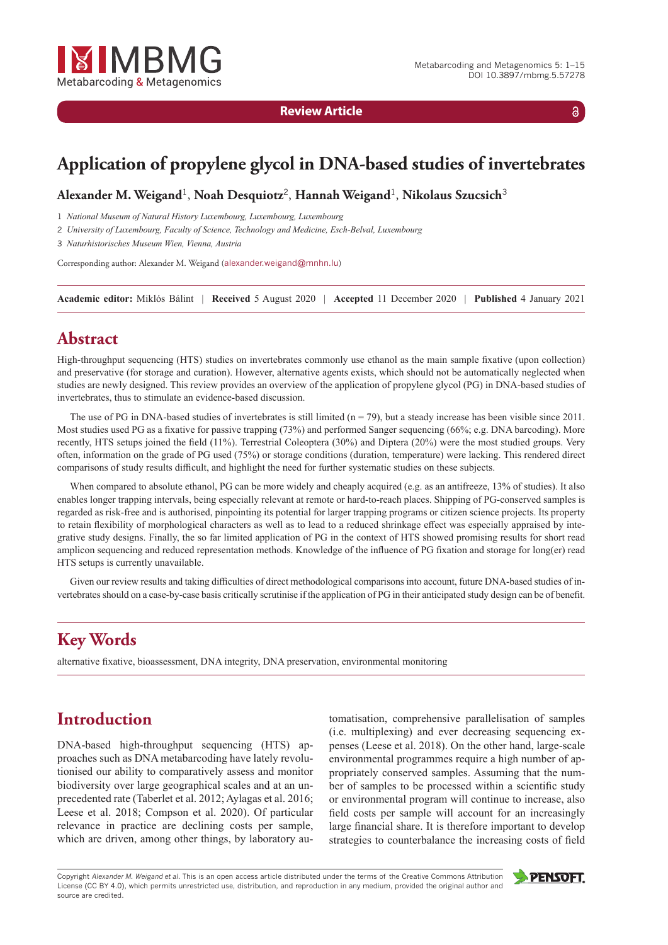

**Review Article**

 $\delta$ 

# **Application of propylene glycol in DNA-based studies of invertebrates**

**Alexander M. Weigand**<sup>1</sup>, **Noah Desquiotz**<sup>2</sup>, **Hannah Weigand**<sup>1</sup>, **Nikolaus Szucsich**<sup>3</sup>

1 *National Museum of Natural History Luxembourg, Luxembourg, Luxembourg*

2 *University of Luxembourg, Faculty of Science, Technology and Medicine, Esch-Belval, Luxembourg*

3 *Naturhistorisches Museum Wien, Vienna, Austria*

Corresponding author: Alexander M. Weigand ([alexander.weigand@mnhn.lu](mailto:alexander.weigand@mnhn.lu))

**Academic editor:** Miklós Bálint *|* **Received** 5 August 2020 *|* **Accepted** 11 December 2020 *|* **Published** 4 January 2021

## **Abstract**

High-throughput sequencing (HTS) studies on invertebrates commonly use ethanol as the main sample fixative (upon collection) and preservative (for storage and curation). However, alternative agents exists, which should not be automatically neglected when studies are newly designed. This review provides an overview of the application of propylene glycol (PG) in DNA-based studies of invertebrates, thus to stimulate an evidence-based discussion.

The use of PG in DNA-based studies of invertebrates is still limited  $(n = 79)$ , but a steady increase has been visible since 2011. Most studies used PG as a fixative for passive trapping (73%) and performed Sanger sequencing (66%; e.g. DNA barcoding). More recently, HTS setups joined the field (11%). Terrestrial Coleoptera (30%) and Diptera (20%) were the most studied groups. Very often, information on the grade of PG used (75%) or storage conditions (duration, temperature) were lacking. This rendered direct comparisons of study results difficult, and highlight the need for further systematic studies on these subjects.

When compared to absolute ethanol, PG can be more widely and cheaply acquired (e.g. as an antifreeze, 13% of studies). It also enables longer trapping intervals, being especially relevant at remote or hard-to-reach places. Shipping of PG-conserved samples is regarded as risk-free and is authorised, pinpointing its potential for larger trapping programs or citizen science projects. Its property to retain flexibility of morphological characters as well as to lead to a reduced shrinkage effect was especially appraised by integrative study designs. Finally, the so far limited application of PG in the context of HTS showed promising results for short read amplicon sequencing and reduced representation methods. Knowledge of the influence of PG fixation and storage for long(er) read HTS setups is currently unavailable.

Given our review results and taking difficulties of direct methodological comparisons into account, future DNA-based studies of invertebrates should on a case-by-case basis critically scrutinise if the application of PG in their anticipated study design can be of benefit.

# **Key Words**

alternative fixative, bioassessment, DNA integrity, DNA preservation, environmental monitoring

# **Introduction**

DNA-based high-throughput sequencing (HTS) approaches such as DNA metabarcoding have lately revolutionised our ability to comparatively assess and monitor biodiversity over large geographical scales and at an unprecedented rate (Taberlet et al. 2012; Aylagas et al. 2016; Leese et al. 2018; Compson et al. 2020). Of particular relevance in practice are declining costs per sample, which are driven, among other things, by laboratory automatisation, comprehensive parallelisation of samples (i.e. multiplexing) and ever decreasing sequencing expenses (Leese et al. 2018). On the other hand, large-scale environmental programmes require a high number of appropriately conserved samples. Assuming that the number of samples to be processed within a scientific study or environmental program will continue to increase, also field costs per sample will account for an increasingly large financial share. It is therefore important to develop strategies to counterbalance the increasing costs of field

Copyright *Alexander M. Weigand et al.* This is an open access article distributed under the terms of the [Creative Commons Attribution](http://creativecommons.org/licenses/by/4.0/) [License \(CC BY 4.0\),](http://creativecommons.org/licenses/by/4.0/) which permits unrestricted use, distribution, and reproduction in any medium, provided the original author and source are credited.

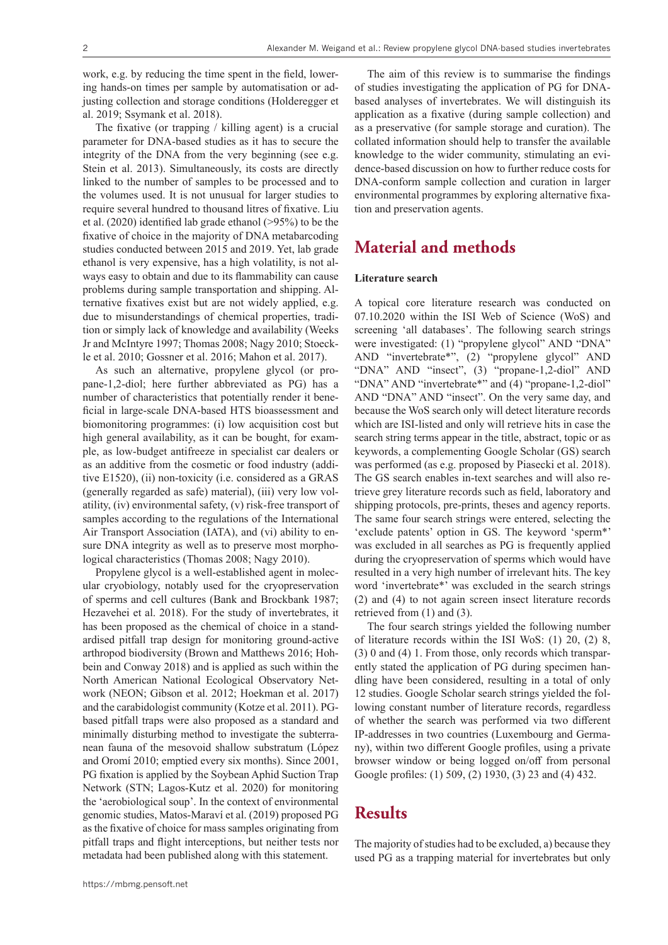work, e.g. by reducing the time spent in the field, lowering hands-on times per sample by automatisation or adjusting collection and storage conditions (Holderegger et al. 2019; Ssymank et al. 2018).

The fixative (or trapping / killing agent) is a crucial parameter for DNA-based studies as it has to secure the integrity of the DNA from the very beginning (see e.g. Stein et al. 2013). Simultaneously, its costs are directly linked to the number of samples to be processed and to the volumes used. It is not unusual for larger studies to require several hundred to thousand litres of fixative. Liu et al. (2020) identified lab grade ethanol (>95%) to be the fixative of choice in the majority of DNA metabarcoding studies conducted between 2015 and 2019. Yet, lab grade ethanol is very expensive, has a high volatility, is not always easy to obtain and due to its flammability can cause problems during sample transportation and shipping. Alternative fixatives exist but are not widely applied, e.g. due to misunderstandings of chemical properties, tradition or simply lack of knowledge and availability (Weeks Jr and McIntyre 1997; Thomas 2008; Nagy 2010; Stoeckle et al. 2010; Gossner et al. 2016; Mahon et al. 2017).

As such an alternative, propylene glycol (or propane-1,2-diol; here further abbreviated as PG) has a number of characteristics that potentially render it beneficial in large-scale DNA-based HTS bioassessment and biomonitoring programmes: (i) low acquisition cost but high general availability, as it can be bought, for example, as low-budget antifreeze in specialist car dealers or as an additive from the cosmetic or food industry (additive E1520), (ii) non-toxicity (i.e. considered as a GRAS (generally regarded as safe) material), (iii) very low volatility, (iv) environmental safety, (v) risk-free transport of samples according to the regulations of the International Air Transport Association (IATA), and (vi) ability to ensure DNA integrity as well as to preserve most morphological characteristics (Thomas 2008; Nagy 2010).

Propylene glycol is a well-established agent in molecular cryobiology, notably used for the cryopreservation of sperms and cell cultures (Bank and Brockbank 1987; Hezavehei et al. 2018). For the study of invertebrates, it has been proposed as the chemical of choice in a standardised pitfall trap design for monitoring ground-active arthropod biodiversity (Brown and Matthews 2016; Hohbein and Conway 2018) and is applied as such within the North American National Ecological Observatory Network (NEON; Gibson et al. 2012; Hoekman et al. 2017) and the carabidologist community (Kotze et al. 2011). PGbased pitfall traps were also proposed as a standard and minimally disturbing method to investigate the subterranean fauna of the mesovoid shallow substratum (López and Oromí 2010; emptied every six months). Since 2001, PG fixation is applied by the Soybean Aphid Suction Trap Network (STN; Lagos-Kutz et al. 2020) for monitoring the 'aerobiological soup'. In the context of environmental genomic studies, Matos-Maraví et al. (2019) proposed PG as the fixative of choice for mass samples originating from pitfall traps and flight interceptions, but neither tests nor metadata had been published along with this statement.

The aim of this review is to summarise the findings of studies investigating the application of PG for DNAbased analyses of invertebrates. We will distinguish its application as a fixative (during sample collection) and as a preservative (for sample storage and curation). The collated information should help to transfer the available knowledge to the wider community, stimulating an evidence-based discussion on how to further reduce costs for DNA-conform sample collection and curation in larger environmental programmes by exploring alternative fixation and preservation agents.

### **Material and methods**

### **Literature search**

A topical core literature research was conducted on 07.10.2020 within the ISI Web of Science (WoS) and screening 'all databases'. The following search strings were investigated: (1) "propylene glycol" AND "DNA" AND "invertebrate\*", (2) "propylene glycol" AND "DNA" AND "insect", (3) "propane-1,2-diol" AND "DNA" AND "invertebrate\*" and (4) "propane-1,2-diol" AND "DNA" AND "insect". On the very same day, and because the WoS search only will detect literature records which are ISI-listed and only will retrieve hits in case the search string terms appear in the title, abstract, topic or as keywords, a complementing Google Scholar (GS) search was performed (as e.g. proposed by Piasecki et al. 2018). The GS search enables in-text searches and will also retrieve grey literature records such as field, laboratory and shipping protocols, pre-prints, theses and agency reports. The same four search strings were entered, selecting the 'exclude patents' option in GS. The keyword 'sperm\*' was excluded in all searches as PG is frequently applied during the cryopreservation of sperms which would have resulted in a very high number of irrelevant hits. The key word 'invertebrate\*' was excluded in the search strings (2) and (4) to not again screen insect literature records retrieved from (1) and (3).

The four search strings yielded the following number of literature records within the ISI WoS: (1) 20, (2) 8, (3) 0 and (4) 1. From those, only records which transparently stated the application of PG during specimen handling have been considered, resulting in a total of only 12 studies. Google Scholar search strings yielded the following constant number of literature records, regardless of whether the search was performed via two different IP-addresses in two countries (Luxembourg and Germany), within two different Google profiles, using a private browser window or being logged on/off from personal Google profiles: (1) 509, (2) 1930, (3) 23 and (4) 432.

## **Results**

The majority of studies had to be excluded, a) because they used PG as a trapping material for invertebrates but only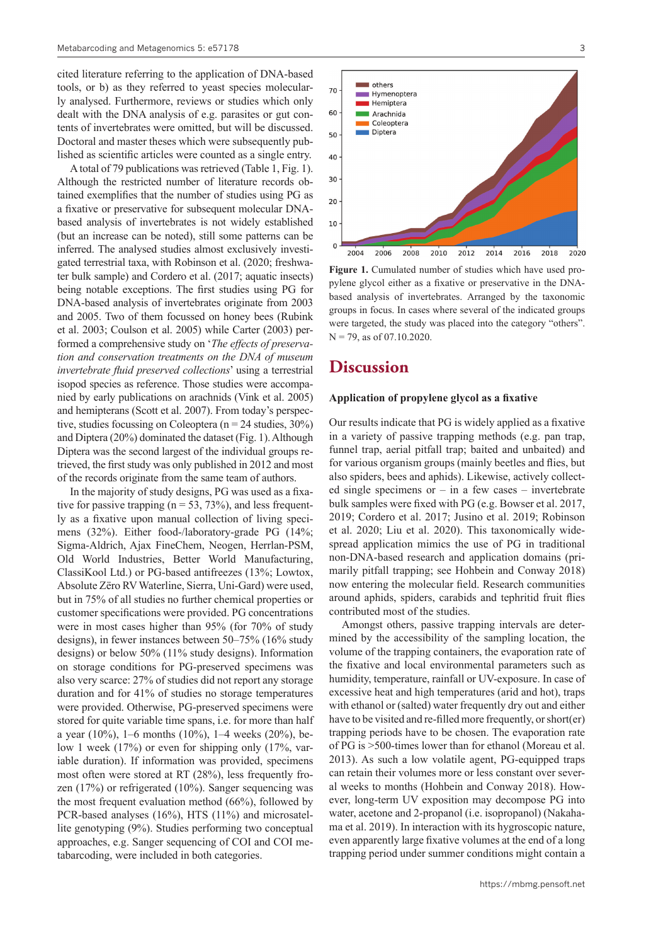cited literature referring to the application of DNA-based tools, or b) as they referred to yeast species molecularly analysed. Furthermore, reviews or studies which only dealt with the DNA analysis of e.g. parasites or gut contents of invertebrates were omitted, but will be discussed. Doctoral and master theses which were subsequently published as scientific articles were counted as a single entry.

A total of 79 publications was retrieved (Table 1, Fig. 1). Although the restricted number of literature records obtained exemplifies that the number of studies using PG as a fixative or preservative for subsequent molecular DNAbased analysis of invertebrates is not widely established (but an increase can be noted), still some patterns can be inferred. The analysed studies almost exclusively investigated terrestrial taxa, with Robinson et al. (2020; freshwater bulk sample) and Cordero et al. (2017; aquatic insects) being notable exceptions. The first studies using PG for DNA-based analysis of invertebrates originate from 2003 and 2005. Two of them focussed on honey bees (Rubink et al. 2003; Coulson et al. 2005) while Carter (2003) performed a comprehensive study on '*The effects of preservation and conservation treatments on the DNA of museum invertebrate fluid preserved collections*' using a terrestrial isopod species as reference. Those studies were accompanied by early publications on arachnids (Vink et al. 2005) and hemipterans (Scott et al. 2007). From today's perspective, studies focussing on Coleoptera ( $n = 24$  studies, 30%) and Diptera (20%) dominated the dataset (Fig. 1). Although Diptera was the second largest of the individual groups retrieved, the first study was only published in 2012 and most of the records originate from the same team of authors.

In the majority of study designs, PG was used as a fixative for passive trapping ( $n = 53, 73\%$ ), and less frequently as a fixative upon manual collection of living specimens (32%). Either food-/laboratory-grade PG (14%; Sigma-Aldrich, Ajax FineChem, Neogen, Herrlan-PSM, Old World Industries, Better World Manufacturing, ClassiKool Ltd.) or PG-based antifreezes (13%; Lowtox, Absolute Zëro RV Waterline, Sierra, Uni-Gard) were used, but in 75% of all studies no further chemical properties or customer specifications were provided. PG concentrations were in most cases higher than 95% (for 70% of study designs), in fewer instances between 50–75% (16% study designs) or below 50% (11% study designs). Information on storage conditions for PG-preserved specimens was also very scarce: 27% of studies did not report any storage duration and for 41% of studies no storage temperatures were provided. Otherwise, PG-preserved specimens were stored for quite variable time spans, i.e. for more than half a year (10%), 1–6 months (10%), 1–4 weeks (20%), below 1 week (17%) or even for shipping only (17%, variable duration). If information was provided, specimens most often were stored at RT (28%), less frequently frozen (17%) or refrigerated (10%). Sanger sequencing was the most frequent evaluation method (66%), followed by PCR-based analyses (16%), HTS (11%) and microsatellite genotyping (9%). Studies performing two conceptual approaches, e.g. Sanger sequencing of COI and COI metabarcoding, were included in both categories.





**Figure 1.** Cumulated number of studies which have used propylene glycol either as a fixative or preservative in the DNAbased analysis of invertebrates. Arranged by the taxonomic groups in focus. In cases where several of the indicated groups were targeted, the study was placed into the category "others".  $N = 79$ , as of 07.10.2020.

### **Discussion**

### **Application of propylene glycol as a fixative**

Our results indicate that PG is widely applied as a fixative in a variety of passive trapping methods (e.g. pan trap, funnel trap, aerial pitfall trap; baited and unbaited) and for various organism groups (mainly beetles and flies, but also spiders, bees and aphids). Likewise, actively collected single specimens or  $-$  in a few cases  $-$  invertebrate bulk samples were fixed with PG (e.g. Bowser et al. 2017, 2019; Cordero et al. 2017; Jusino et al. 2019; Robinson et al. 2020; Liu et al. 2020). This taxonomically widespread application mimics the use of PG in traditional non-DNA-based research and application domains (primarily pitfall trapping; see Hohbein and Conway 2018) now entering the molecular field. Research communities around aphids, spiders, carabids and tephritid fruit flies contributed most of the studies.

Amongst others, passive trapping intervals are determined by the accessibility of the sampling location, the volume of the trapping containers, the evaporation rate of the fixative and local environmental parameters such as humidity, temperature, rainfall or UV-exposure. In case of excessive heat and high temperatures (arid and hot), traps with ethanol or (salted) water frequently dry out and either have to be visited and re-filled more frequently, or short(er) trapping periods have to be chosen. The evaporation rate of PG is >500-times lower than for ethanol (Moreau et al. 2013). As such a low volatile agent, PG-equipped traps can retain their volumes more or less constant over several weeks to months (Hohbein and Conway 2018). However, long-term UV exposition may decompose PG into water, acetone and 2-propanol (i.e. isopropanol) (Nakahama et al. 2019). In interaction with its hygroscopic nature, even apparently large fixative volumes at the end of a long trapping period under summer conditions might contain a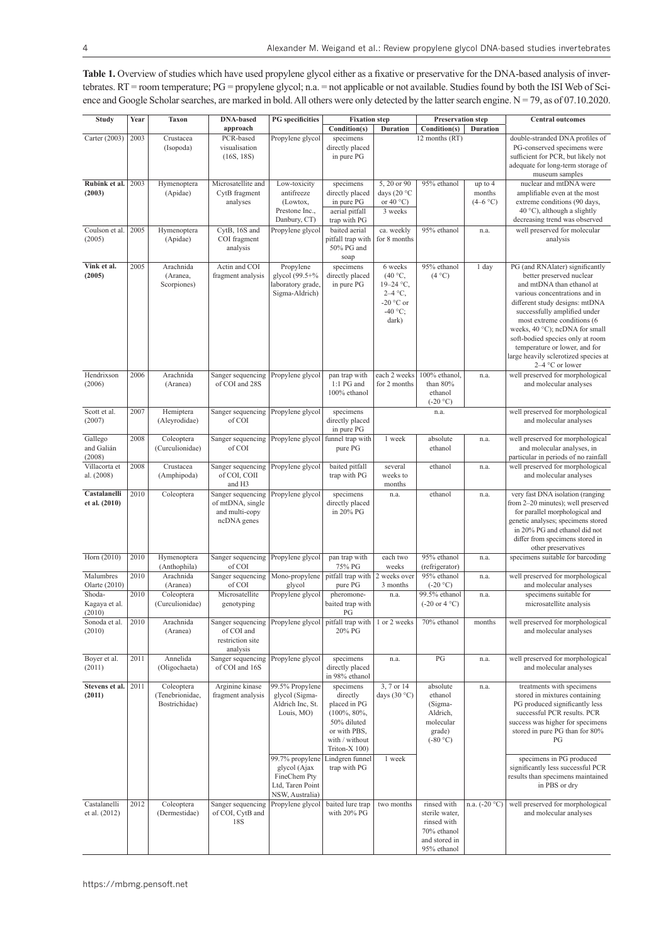**Table 1.** Overview of studies which have used propylene glycol either as a fixative or preservative for the DNA-based analysis of invertebrates. RT = room temperature; PG = propylene glycol; n.a. = not applicable or not available. Studies found by both the ISI Web of Science and Google Scholar searches, are marked in bold. All others were only detected by the latter search engine.  $N = 79$ , as of 07.10.2020.

| <b>Study</b>                 | Year | <b>Taxon</b>          | <b>DNA-based</b>                  | <b>PG</b> specificities             | <b>Fixation</b> step            |                          | <b>Preservation step</b>                       |                 | <b>Central outcomes</b>                                               |
|------------------------------|------|-----------------------|-----------------------------------|-------------------------------------|---------------------------------|--------------------------|------------------------------------------------|-----------------|-----------------------------------------------------------------------|
|                              |      |                       | approach                          |                                     | Condition(s)                    | <b>Duration</b>          | Condition(s)                                   | <b>Duration</b> |                                                                       |
| Carter (2003)                | 2003 | Crustacea             | PCR-based                         | Propylene glycol                    | specimens                       |                          | 12 months (RT)                                 |                 | double-stranded DNA profiles of                                       |
|                              |      | (Isopoda)             | visualisation<br>(16S, 18S)       |                                     | directly placed<br>in pure PG   |                          |                                                |                 | PG-conserved specimens were<br>sufficient for PCR, but likely not     |
|                              |      |                       |                                   |                                     |                                 |                          |                                                |                 | adequate for long-term storage of                                     |
|                              |      |                       |                                   |                                     |                                 |                          |                                                |                 | museum samples                                                        |
| Rubink et al.                | 2003 | Hymenoptera           | Microsatellite and                | Low-toxicity                        | specimens                       | 5, 20 or 90              | 95% ethanol                                    | up to 4         | nuclear and mtDNA were                                                |
| (2003)                       |      | (Apidae)              | CytB fragment                     | antifreeze                          | directly placed                 | days (20 $\degree$ C     |                                                | months          | amplifiable even at the most                                          |
|                              |      |                       | analyses                          | (Lowtox,                            | in pure PG                      | or $40^{\circ}$ C)       |                                                | $(4-6 °C)$      | extreme conditions (90 days,                                          |
|                              |      |                       |                                   | Prestone Inc.,<br>Danbury, CT)      | aerial pitfall<br>trap with PG  | 3 weeks                  |                                                |                 | 40 °C), although a slightly<br>decreasing trend was observed          |
| Coulson et al.               | 2005 | Hymenoptera           | CytB, 16S and                     | Propylene glycol                    | baited aerial                   | ca. weekly               | 95% ethanol                                    | n.a.            | well preserved for molecular                                          |
| (2005)                       |      | (Apidae)              | COI fragment                      |                                     | pitfall trap with               | for 8 months             |                                                |                 | analysis                                                              |
|                              |      |                       | analysis                          |                                     | 50% PG and                      |                          |                                                |                 |                                                                       |
|                              |      |                       |                                   |                                     | soap                            |                          |                                                |                 |                                                                       |
| Vink et al.                  | 2005 | Arachnida             | Actin and COI                     | Propylene                           | specimens                       | 6 weeks                  | 95% ethanol                                    | 1 day           | PG (and RNAlater) significantly                                       |
| (2005)                       |      | (Aranea,              | fragment analysis                 | glycol (99.5+%                      | directly placed                 | (40 °C,                  | (4 °C)                                         |                 | better preserved nuclear                                              |
|                              |      | Scorpiones)           |                                   | laboratory grade.<br>Sigma-Aldrich) | in pure PG                      | $19-24$ °C,<br>$2-4$ °C, |                                                |                 | and mtDNA than ethanol at<br>various concentrations and in            |
|                              |      |                       |                                   |                                     |                                 | -20 $\degree$ C or       |                                                |                 | different study designs: mtDNA                                        |
|                              |      |                       |                                   |                                     |                                 | -40 $\degree$ C;         |                                                |                 | successfully amplified under                                          |
|                              |      |                       |                                   |                                     |                                 | dark)                    |                                                |                 | most extreme conditions (6                                            |
|                              |      |                       |                                   |                                     |                                 |                          |                                                |                 | weeks, 40 °C); ncDNA for small                                        |
|                              |      |                       |                                   |                                     |                                 |                          |                                                |                 | soft-bodied species only at room                                      |
|                              |      |                       |                                   |                                     |                                 |                          |                                                |                 | temperature or lower, and for<br>large heavily sclerotized species at |
|                              |      |                       |                                   |                                     |                                 |                          |                                                |                 | 2-4 °C or lower                                                       |
| Hendrixson                   | 2006 | Arachnida             | Sanger sequencing                 | Propylene glycol                    | pan trap with                   | each 2 weeks             | 100% ethanol.                                  | n.a.            | well preserved for morphological                                      |
| (2006)                       |      | (Aranea)              | of COI and 28S                    |                                     | 1:1 PG and                      | for 2 months             | than 80%                                       |                 | and molecular analyses                                                |
|                              |      |                       |                                   |                                     | 100% ethanol                    |                          | ethanol                                        |                 |                                                                       |
| Scott et al.                 | 2007 | Hemiptera             | Sanger sequencing                 | Propylene glycol                    | specimens                       |                          | $(-20 °C)$<br>n.a.                             |                 | well preserved for morphological                                      |
| (2007)                       |      | (Aleyrodidae)         | of COI                            |                                     | directly placed                 |                          |                                                |                 | and molecular analyses                                                |
|                              |      |                       |                                   |                                     | in pure PG                      |                          |                                                |                 |                                                                       |
| Gallego                      | 2008 | Coleoptera            | Sanger sequencing                 | Propylene glycol                    | funnel trap with                | 1 week                   | absolute                                       | n.a.            | well preserved for morphological                                      |
| and Galián                   |      | (Curculionidae)       | of COI                            |                                     | pure PG                         |                          | ethanol                                        |                 | and molecular analyses, in                                            |
| (2008)                       |      |                       |                                   |                                     |                                 |                          |                                                |                 | particular in periods of no rainfall                                  |
| Villacorta et                | 2008 | Crustacea             | Sanger sequencing<br>of COI, COII | Propylene glycol                    | baited pitfall                  | several<br>weeks to      | ethanol                                        | n.a.            | well preserved for morphological                                      |
| al. (2008)                   |      | (Amphipoda)           | and H <sub>3</sub>                |                                     | trap with PG                    | months                   |                                                |                 | and molecular analyses                                                |
| Castalanelli                 | 2010 | Coleoptera            | Sanger sequencing                 | Propylene glycol                    | specimens                       | n.a.                     | ethanol                                        | n.a.            | very fast DNA isolation (ranging                                      |
| et al. (2010)                |      |                       | of mtDNA, single                  |                                     | directly placed                 |                          |                                                |                 | from 2-20 minutes); well preserved                                    |
|                              |      |                       | and multi-copy                    |                                     | in 20% PG                       |                          |                                                |                 | for parallel morphological and                                        |
|                              |      |                       | ncDNA genes                       |                                     |                                 |                          |                                                |                 | genetic analyses; specimens stored                                    |
|                              |      |                       |                                   |                                     |                                 |                          |                                                |                 | in 20% PG and ethanol did not<br>differ from specimens stored in      |
|                              |      |                       |                                   |                                     |                                 |                          |                                                |                 | other preservatives                                                   |
| Horn (2010)                  | 2010 | Hymenoptera           | Sanger sequencing                 | Propylene glycol                    | pan trap with                   | each two                 | 95% ethanol                                    | n.a.            | specimens suitable for barcoding                                      |
|                              |      | (Anthophila)          | of COI                            |                                     | 75% PG                          | weeks                    | (refrigerator)                                 |                 |                                                                       |
| Malumbres<br>Olarte $(2010)$ | 2010 | Arachnida<br>(Aranea) | Sanger sequencing<br>of COI       | Mono-propylene<br>glycol            | pitfall trap with<br>pure PG    | 2 weeks over<br>3 months | 95% ethanol<br>$(-20 °C)$                      | n.a.            | well preserved for morphological<br>and molecular analyses            |
| Shoda-                       | 2010 | Coleoptera            | Microsatellite                    | Propylene glycol                    | pheromone-                      | n.a.                     | 99.5% ethanol                                  | n.a.            | specimens suitable for                                                |
| Kagaya et al.                |      | (Curculionidae)       | genotyping                        |                                     | baited trap with                |                          | $(-20 \text{ or } 4 \text{ }^{\circ}\text{C})$ |                 | microsatellite analysis                                               |
| (2010)                       |      |                       |                                   |                                     | PG                              |                          |                                                |                 |                                                                       |
| Sonoda et al.                | 2010 | Arachnida             | Sanger sequencing                 | Propylene glycol pitfall trap with  |                                 | 1 or 2 weeks             | 70% ethanol                                    | months          | well preserved for morphological                                      |
| (2010)                       |      | (Aranea)              | of COI and                        |                                     | 20% PG                          |                          |                                                |                 | and molecular analyses                                                |
|                              |      |                       | restriction site<br>analysis      |                                     |                                 |                          |                                                |                 |                                                                       |
| Boyer et al.                 | 2011 | Annelida              | Sanger sequencing                 | Propylene glycol                    | specimens                       | n.a.                     | PG                                             | n.a.            | well preserved for morphological                                      |
| (2011)                       |      | (Oligochaeta)         | of COI and 16S                    |                                     | directly placed                 |                          |                                                |                 | and molecular analyses                                                |
|                              |      |                       |                                   |                                     | in 98% ethanol                  |                          |                                                |                 |                                                                       |
| Stevens et al.               | 2011 | Coleoptera            | Arginine kinase                   | 99.5% Propylene                     | specimens                       | 3, 7 or 14               | absolute                                       | n.a.            | treatments with specimens                                             |
| (2011)                       |      | (Tenebrionidae,       | fragment analysis                 | glycol (Sigma-                      | directly                        | days $(30 °C)$           | ethanol                                        |                 | stored in mixtures containing                                         |
|                              |      | Bostrichidae)         |                                   | Aldrich Inc, St.<br>Louis, MO)      | placed in PG<br>$(100\%, 80\%,$ |                          | (Sigma-<br>Aldrich,                            |                 | PG produced significantly less<br>successful PCR results. PCR         |
|                              |      |                       |                                   |                                     | 50% diluted                     |                          | molecular                                      |                 | success was higher for specimens                                      |
|                              |      |                       |                                   |                                     | or with PBS,                    |                          | grade)                                         |                 | stored in pure PG than for 80%                                        |
|                              |      |                       |                                   |                                     | with / without                  |                          | $(-80 °C)$                                     |                 | PG                                                                    |
|                              |      |                       |                                   |                                     | Triton-X 100)                   |                          |                                                |                 |                                                                       |
|                              |      |                       |                                   | 99.7% propylene                     | Lindgren funnel                 | 1 week                   |                                                |                 | specimens in PG produced                                              |
|                              |      |                       |                                   | glycol (Ajax                        | trap with PG                    |                          |                                                |                 | significantly less successful PCR                                     |
|                              |      |                       |                                   | FineChem Pty<br>Ltd, Taren Point    |                                 |                          |                                                |                 | results than specimens maintained<br>in PBS or dry                    |
|                              |      |                       |                                   | NSW, Australia)                     |                                 |                          |                                                |                 |                                                                       |
| Castalanelli                 | 2012 | Coleoptera            | Sanger sequencing                 | Propylene glycol                    | baited lure trap                | two months               | rinsed with                                    | n.a. (-20 °C)   | well preserved for morphological                                      |
| et al. (2012)                |      | (Dermestidae)         | of COI, CytB and                  |                                     | with 20% PG                     |                          | sterile water,                                 |                 | and molecular analyses                                                |
|                              |      |                       | 18S                               |                                     |                                 |                          | rinsed with                                    |                 |                                                                       |
|                              |      |                       |                                   |                                     |                                 |                          | 70% ethanol<br>and stored in                   |                 |                                                                       |
|                              |      |                       |                                   |                                     |                                 |                          | 95% ethanol                                    |                 |                                                                       |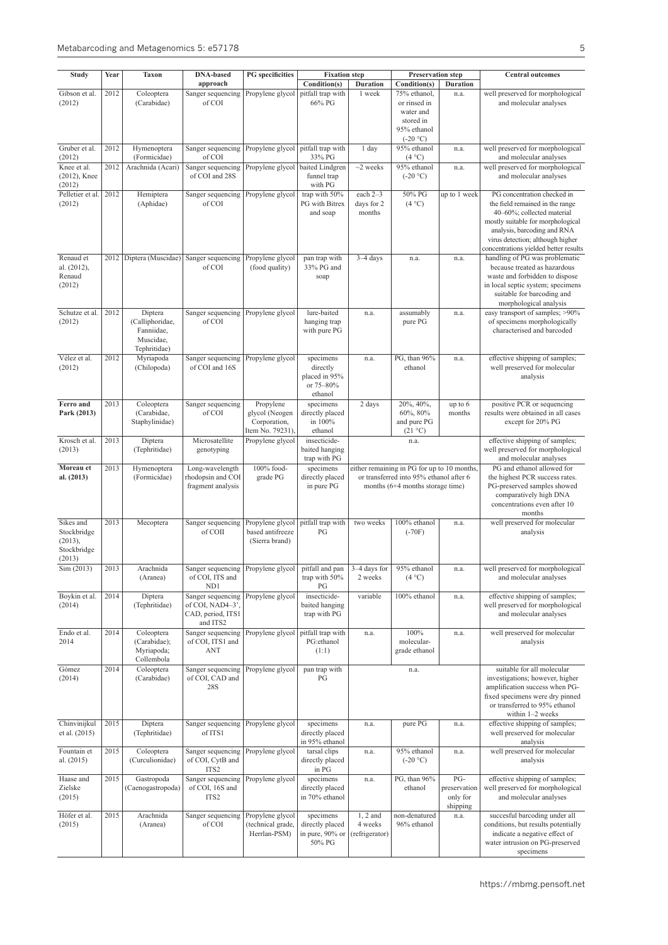| <b>Study</b>                | Year | <b>Taxon</b>                  | <b>DNA-based</b>                                          | <b>PG</b> specificities              | <b>Fixation</b> step               | <b>Preservation step</b>  |                                                                               |                      | <b>Central outcomes</b>                                              |
|-----------------------------|------|-------------------------------|-----------------------------------------------------------|--------------------------------------|------------------------------------|---------------------------|-------------------------------------------------------------------------------|----------------------|----------------------------------------------------------------------|
| Gibson et al.               | 2012 |                               | approach                                                  |                                      | Condition(s)<br>pitfall trap with  | <b>Duration</b><br>1 week | Condition(s)<br>75% ethanol,                                                  | <b>Duration</b>      |                                                                      |
| (2012)                      |      | Coleoptera<br>(Carabidae)     | Sanger sequencing<br>of COI                               | Propylene glycol                     | 66% PG                             |                           | or rinsed in                                                                  | n.a.                 | well preserved for morphological<br>and molecular analyses           |
|                             |      |                               |                                                           |                                      |                                    |                           | water and                                                                     |                      |                                                                      |
|                             |      |                               |                                                           |                                      |                                    |                           | stored in<br>95% ethanol                                                      |                      |                                                                      |
|                             |      |                               |                                                           |                                      |                                    |                           | $(-20 °C)$                                                                    |                      |                                                                      |
| Gruber et al.<br>(2012)     | 2012 | Hymenoptera<br>(Formicidae)   | Sanger sequencing<br>of COI                               | Propylene glycol   pitfall trap with | 33% PG                             | 1 day                     | 95% ethanol<br>(4 °C)                                                         | n.a.                 | well preserved for morphological<br>and molecular analyses           |
| Knee et al.<br>(2012), Knee | 2012 | Arachnida (Acari)             | Sanger sequencing<br>of COI and 28S                       | Propylene glycol   baited Lindgren   | funnel trap                        | $\sim$ 2 weeks            | 95% ethanol<br>$(-20 °C)$                                                     | n.a.                 | well preserved for morphological<br>and molecular analyses           |
| (2012)                      |      |                               |                                                           |                                      | with PG                            |                           |                                                                               |                      |                                                                      |
| Pelletier et al.<br>(2012)  | 2012 | Hemiptera<br>(Aphidae)        | Sanger sequencing<br>of COI                               | Propylene glycol                     | trap with 50%<br>PG with Bitrex    | each 2-3<br>days for 2    | 50% PG<br>(4 °C)                                                              | up to 1 week         | PG concentration checked in<br>the field remained in the range       |
|                             |      |                               |                                                           |                                      | and soap                           | months                    |                                                                               |                      | 40-60%; collected material                                           |
|                             |      |                               |                                                           |                                      |                                    |                           |                                                                               |                      | mostly suitable for morphological<br>analysis, barcoding and RNA     |
|                             |      |                               |                                                           |                                      |                                    |                           |                                                                               |                      | virus detection; although higher                                     |
|                             |      |                               |                                                           |                                      |                                    |                           |                                                                               |                      | concentrations yielded better results                                |
| Renaud et<br>al. (2012),    |      | 2012   Diptera (Muscidae)     | Sanger sequencing<br>of COI                               | Propylene glycol<br>(food quality)   | pan trap with<br>33% PG and        | $3-4$ days                | n.a.                                                                          | n.a.                 | handling of PG was problematic<br>because treated as hazardous       |
| Renaud                      |      |                               |                                                           |                                      | soap                               |                           |                                                                               |                      | waste and forbidden to dispose                                       |
| (2012)                      |      |                               |                                                           |                                      |                                    |                           |                                                                               |                      | in local septic system; specimens<br>suitable for barcoding and      |
|                             |      |                               |                                                           |                                      |                                    |                           |                                                                               |                      | morphological analysis                                               |
| Schutze et al.              | 2012 | Diptera                       | Sanger sequencing                                         | Propylene glycol                     | lure-baited                        | n.a.                      | assumably                                                                     | n.a.                 | easy transport of samples; >90%                                      |
| (2012)                      |      | (Calliphoridae,<br>Fanniidae, | of COI                                                    |                                      | hanging trap<br>with pure PG       |                           | pure PG                                                                       |                      | of specimens morphologically<br>characterised and barcoded           |
|                             |      | Muscidae,                     |                                                           |                                      |                                    |                           |                                                                               |                      |                                                                      |
| Vélez et al.                | 2012 | Tephritidae)                  |                                                           | Propylene glycol                     |                                    |                           | PG, than 96%                                                                  |                      | effective shipping of samples;                                       |
| (2012)                      |      | Myriapoda<br>(Chilopoda)      | Sanger sequencing<br>of COI and 16S                       |                                      | specimens<br>directly              | n.a.                      | ethanol                                                                       | n.a.                 | well preserved for molecular                                         |
|                             |      |                               |                                                           |                                      | placed in 95%                      |                           |                                                                               |                      | analysis                                                             |
|                             |      |                               |                                                           |                                      | or 75-80%<br>ethanol               |                           |                                                                               |                      |                                                                      |
| Ferro and                   | 2013 | Coleoptera                    | Sanger sequencing                                         | Propylene                            | specimens                          | 2 days                    | 20%, 40%,                                                                     | up to 6              | positive PCR or sequencing                                           |
| Park (2013)                 |      | (Carabidae,<br>Staphylinidae) | of COI                                                    | glycol (Neogen<br>Corporation,       | directly placed<br>in 100%         |                           | 60%, 80%<br>and pure PG                                                       | months               | results were obtained in all cases<br>except for 20% PG              |
|                             |      |                               |                                                           | Item No. 79231),                     | ethanol                            |                           | $(21 \degree C)$                                                              |                      |                                                                      |
| Krosch et al.               | 2013 | Diptera                       | Microsatellite                                            | Propylene glycol                     | insecticide-                       |                           | n.a.                                                                          |                      | effective shipping of samples;                                       |
| (2013)                      |      | (Tephritidae)                 | genotyping                                                |                                      | baited hanging<br>trap with PG     |                           |                                                                               |                      | well preserved for morphological<br>and molecular analyses           |
| Moreau et                   | 2013 | Hymenoptera                   | Long-wavelength                                           | 100% food-                           | specimens                          |                           | either remaining in PG for up to 10 months,                                   |                      | PG and ethanol allowed for                                           |
| al. (2013)                  |      | (Formicidae)                  | rhodopsin and COI<br>fragment analysis                    | grade PG                             | directly placed<br>in pure PG      |                           | or transferred into 95% ethanol after 6<br>months $(6+4$ months storage time) |                      | the highest PCR success rates.<br>PG-preserved samples showed        |
|                             |      |                               |                                                           |                                      |                                    |                           |                                                                               |                      | comparatively high DNA                                               |
|                             |      |                               |                                                           |                                      |                                    |                           |                                                                               |                      | concentrations even after 10<br>months                               |
| Sikes and                   | 2013 | Mecoptera                     | Sanger sequencing                                         | Propylene glycol                     | pitfall trap with                  | two weeks                 | 100% ethanol                                                                  | n.a.                 | well preserved for molecular                                         |
| Stockbridge                 |      |                               | of COII                                                   | based antifreeze                     | PG                                 |                           | $(-70F)$                                                                      |                      | analysis                                                             |
| (2013),<br>Stockbridge      |      |                               |                                                           | (Sierra brand)                       |                                    |                           |                                                                               |                      |                                                                      |
| (2013)                      |      |                               |                                                           |                                      |                                    |                           |                                                                               |                      |                                                                      |
| Sim (2013)                  | 2013 | Arachnida<br>(Aranea)         | Sanger sequencing   Propylene glycol  <br>of COI, ITS and |                                      | pitfall and pan<br>trap with 50%   | 3-4 days for<br>2 weeks   | 95% ethanol<br>(4 °C)                                                         | n.a.                 | well preserved for morphological<br>and molecular analyses           |
|                             |      |                               | ND1                                                       |                                      | PG                                 |                           |                                                                               |                      |                                                                      |
| Boykin et al.               | 2014 | Diptera                       | Sanger sequencing                                         | Propylene glycol                     | insecticide-                       | variable                  | 100% ethanol                                                                  | n.a.                 | effective shipping of samples;                                       |
| (2014)                      |      | (Tephritidae)                 | of COI, NAD4-3'.<br>CAD, period, ITS1                     |                                      | baited hanging<br>trap with PG     |                           |                                                                               |                      | well preserved for morphological<br>and molecular analyses           |
|                             |      |                               | and ITS2                                                  |                                      |                                    |                           |                                                                               |                      |                                                                      |
| Endo et al.<br>2014         | 2014 | Coleoptera<br>(Carabidae);    | Sanger sequencing<br>of COI, ITS1 and                     | Propylene glycol                     | pitfall trap with<br>PG:ethanol    | n.a.                      | 100%<br>molecular-                                                            | n.a.                 | well preserved for molecular<br>analysis                             |
|                             |      | Myriapoda;                    | <b>ANT</b>                                                |                                      | (1:1)                              |                           | grade ethanol                                                                 |                      |                                                                      |
|                             |      | Collembola                    |                                                           |                                      |                                    |                           |                                                                               |                      |                                                                      |
| Gómez<br>(2014)             | 2014 | Coleoptera<br>(Carabidae)     | Sanger sequencing<br>of COI, CAD and                      | Propylene glycol                     | pan trap with<br>PG                |                           | n.a.                                                                          |                      | suitable for all molecular<br>investigations; however, higher        |
|                             |      |                               | 28S                                                       |                                      |                                    |                           |                                                                               |                      | amplification success when PG-                                       |
|                             |      |                               |                                                           |                                      |                                    |                           |                                                                               |                      | fixed specimens were dry pinned<br>or transferred to 95% ethanol     |
|                             |      |                               |                                                           |                                      |                                    |                           |                                                                               |                      | within 1-2 weeks                                                     |
| Chinvinijkul                | 2015 | Diptera                       | Sanger sequencing                                         | Propylene glycol                     | specimens                          | n.a.                      | pure PG                                                                       | n.a.                 | effective shipping of samples;                                       |
| et al. (2015)               |      | (Tephritidae)                 | of ITS1                                                   |                                      | directly placed<br>in 95% ethanol  |                           |                                                                               |                      | well preserved for molecular<br>analysis                             |
| Fountain et                 | 2015 | Coleoptera                    | Sanger sequencing                                         | Propylene glycol                     | tarsal clips                       | n.a.                      | 95% ethanol                                                                   | n.a.                 | well preserved for molecular                                         |
| al. (2015)                  |      | (Curculionidae)               | of COI, CytB and<br>ITS <sub>2</sub>                      |                                      | directly placed<br>in PG           |                           | $(-20 °C)$                                                                    |                      | analysis                                                             |
| Haase and                   | 2015 | Gastropoda                    | Sanger sequencing                                         | Propylene glycol                     | specimens                          | n.a.                      | PG, than 96%                                                                  | PG-                  | effective shipping of samples;                                       |
| Zielske                     |      | (Caenogastropoda)             | of COI, 16S and                                           |                                      | directly placed                    |                           | ethanol                                                                       | preservation         | well preserved for morphological                                     |
| (2015)                      |      |                               | ITS <sub>2</sub>                                          |                                      | in 70% ethanol                     |                           |                                                                               | only for<br>shipping | and molecular analyses                                               |
| Höfer et al.                | 2015 | Arachnida                     | Sanger sequencing                                         | Propylene glycol                     | specimens                          | $1, 2$ and                | non-denatured                                                                 | n.a.                 | succesful barcoding under all                                        |
| (2015)                      |      | (Aranea)                      | of COI                                                    | (technical grade,<br>Herrlan-PSM)    | directly placed<br>in pure, 90% or | 4 weeks<br>(refrigerator) | 96% ethanol                                                                   |                      | conditions, but results potentially<br>indicate a negative effect of |
|                             |      |                               |                                                           |                                      | 50% PG                             |                           |                                                                               |                      | water intrusion on PG-preserved                                      |
|                             |      |                               |                                                           |                                      |                                    |                           |                                                                               |                      | specimens                                                            |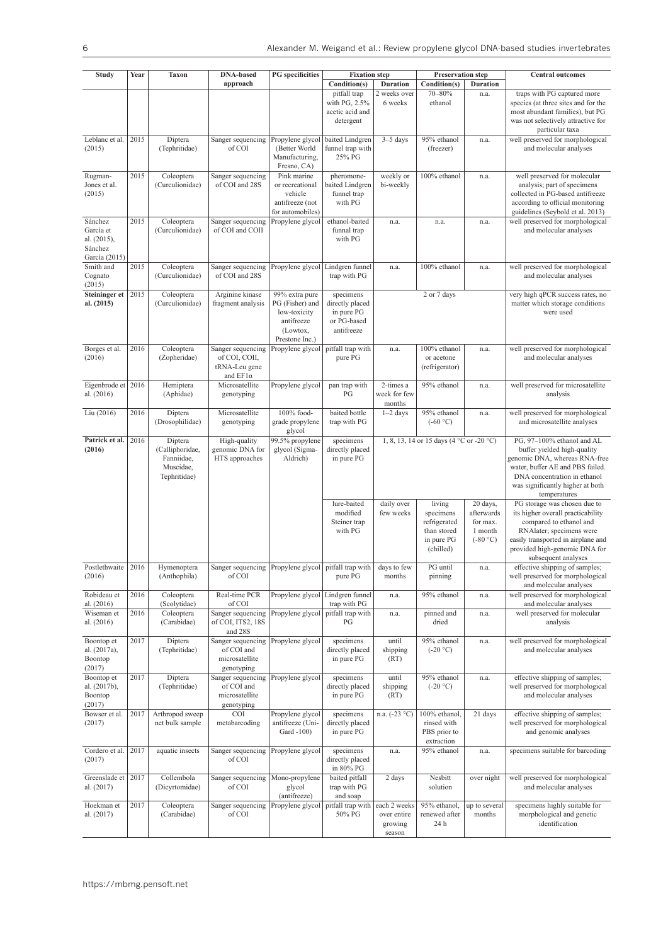| <b>Study</b>                                                    | Year | <b>Taxon</b>                                                          | <b>DNA-based</b>                                                       | <b>PG</b> specificities                                                                       | <b>Fixation step</b>                                                    | <b>Preservation step</b>                         |                                                                               |                                                             | <b>Central outcomes</b>                                                                                                                                                                                                |
|-----------------------------------------------------------------|------|-----------------------------------------------------------------------|------------------------------------------------------------------------|-----------------------------------------------------------------------------------------------|-------------------------------------------------------------------------|--------------------------------------------------|-------------------------------------------------------------------------------|-------------------------------------------------------------|------------------------------------------------------------------------------------------------------------------------------------------------------------------------------------------------------------------------|
|                                                                 |      |                                                                       | approach                                                               |                                                                                               | Condition(s)                                                            | <b>Duration</b>                                  | Condition(s)                                                                  | <b>Duration</b>                                             |                                                                                                                                                                                                                        |
|                                                                 |      |                                                                       |                                                                        |                                                                                               | pitfall trap<br>with PG, 2.5%<br>acetic acid and<br>detergent           | 2 weeks over<br>6 weeks                          | 70-80%<br>ethanol                                                             | n.a.                                                        | traps with PG captured more<br>species (at three sites and for the<br>most abundant families), but PG<br>was not selectively attractive for<br>particular taxa                                                         |
| Leblanc et al.<br>(2015)                                        | 2015 | Diptera<br>(Tephritidae)                                              | Sanger sequencing<br>of COI                                            | Propylene glycol<br>(Better World<br>Manufacturing,<br>Fresno, CA)                            | baited Lindgren<br>funnel trap with<br>25% PG                           | $3-5$ days                                       | 95% ethanol<br>(freezer)                                                      | n.a.                                                        | well preserved for morphological<br>and molecular analyses                                                                                                                                                             |
| Rugman-<br>Jones et al.<br>(2015)                               | 2015 | Coleoptera<br>(Curculionidae)                                         | Sanger sequencing<br>of COI and 28S                                    | Pink marine<br>or recreational<br>vehicle<br>antifreeze (not<br>for automobiles)              | pheromone-<br>baited Lindgren<br>funnel trap<br>with PG                 | weekly or<br>bi-weekly                           | 100% ethanol                                                                  | n.a.                                                        | well preserved for molecular<br>analysis; part of specimens<br>collected in PG-based antifreeze<br>according to official monitoring<br>guidelines (Seybold et al. 2013)                                                |
| Sánchez<br>García et<br>al. (2015),<br>Sánchez<br>García (2015) | 2015 | Coleoptera<br>(Curculionidae)                                         | Sanger sequencing<br>of COI and COII                                   | Propylene glycol                                                                              | ethanol-baited<br>funnal trap<br>with PG                                | n.a.                                             | n.a.                                                                          | n.a.                                                        | well preserved for morphological<br>and molecular analyses                                                                                                                                                             |
| Smith and<br>Cognato<br>(2015)                                  | 2015 | Coleoptera<br>(Curculionidae)                                         | Sanger sequencing<br>of COI and 28S                                    | Propylene glycol                                                                              | Lindgren funnel<br>trap with PG                                         | n.a.                                             | 100% ethanol                                                                  | n.a.                                                        | well preserved for morphological<br>and molecular analyses                                                                                                                                                             |
| <b>Steininger et</b><br>al. (2015)                              | 2015 | Coleoptera<br>(Curculionidae)                                         | Arginine kinase<br>fragment analysis                                   | 99% extra pure<br>PG (Fisher) and<br>low-toxicity<br>antifreeze<br>(Lowtox,<br>Prestone Inc.) | specimens<br>directly placed<br>in pure PG<br>or PG-based<br>antifreeze |                                                  | 2 or 7 days                                                                   |                                                             | very high qPCR success rates, no<br>matter which storage conditions<br>were used                                                                                                                                       |
| Borges et al.<br>(2016)                                         | 2016 | Coleoptera<br>(Zopheridae)                                            | Sanger sequencing<br>of COI, COII,<br>tRNA-Leu gene<br>and $EF1\alpha$ | Propylene glycol                                                                              | pitfall trap with<br>pure PG                                            | n.a.                                             | 100% ethanol<br>or acetone<br>(refrigerator)                                  | n.a.                                                        | well preserved for morphological<br>and molecular analyses                                                                                                                                                             |
| Eigenbrode et<br>al. (2016)                                     | 2016 | Hemiptera<br>(Aphidae)                                                | Microsatellite<br>genotyping                                           | Propylene glycol                                                                              | pan trap with<br>PG                                                     | 2-times a<br>week for few<br>months              | 95% ethanol                                                                   | n.a.                                                        | well preserved for microsatellite<br>analysis                                                                                                                                                                          |
| Liu (2016)                                                      | 2016 | Diptera<br>(Drosophilidae)                                            | Microsatellite<br>genotyping                                           | 100% food-<br>grade propylene<br>glycol                                                       | baited bottle<br>trap with PG                                           | $1-2$ days                                       | 95% ethanol<br>$(-60 °C)$                                                     | n.a.                                                        | well preserved for morphological<br>and microsatellite analyses                                                                                                                                                        |
| Patrick et al.<br>(2016)                                        | 2016 | Diptera<br>(Calliphoridae,<br>Fanniidae,<br>Muscidae,<br>Tephritidae) | High-quality<br>genomic DNA for<br>HTS approaches                      | 99.5% propylene<br>glycol (Sigma-<br>Aldrich)                                                 | specimens<br>directly placed<br>in pure PG                              |                                                  | 1, 8, 13, 14 or 15 days (4 °C or -20 °C)                                      |                                                             | PG, 97-100% ethanol and AL<br>buffer yielded high-quality<br>genomic DNA, whereas RNA-free<br>water, buffer AE and PBS failed.<br>DNA concentration in ethanol<br>was significantly higher at both<br>temperatures     |
|                                                                 |      |                                                                       |                                                                        |                                                                                               | lure-baited<br>modified<br>Steiner trap<br>with PG                      | daily over<br>few weeks                          | living<br>specimens<br>refrigerated<br>than stored<br>in pure PG<br>(chilled) | 20 days,<br>afterwards<br>for max.<br>1 month<br>$(-80 °C)$ | PG storage was chosen due to<br>its higher overall practicability<br>compared to ethanol and<br>RNAlater; specimens were<br>easily transported in airplane and<br>provided high-genomic DNA for<br>subsequent analyses |
| Postlethwaite<br>(2016)                                         | 2016 | Hymenoptera<br>(Anthophila)                                           | Sanger sequencing   Propylene glycol   pitfall trap with  <br>of COI   |                                                                                               | pure PG                                                                 | days to few<br>months                            | PG until<br>pinning                                                           | n.a.                                                        | effective shipping of samples;<br>well preserved for morphological<br>and molecular analyses                                                                                                                           |
| Robideau et<br>al. (2016)                                       | 2016 | Coleoptera<br>(Scolytidae)                                            | Real-time PCR<br>of COI                                                | Propylene glycol                                                                              | Lindgren funnel<br>trap with PG                                         | n.a.                                             | 95% ethanol                                                                   | n.a.                                                        | well preserved for morphological<br>and molecular analyses                                                                                                                                                             |
| Wiseman et<br>al. (2016)                                        | 2016 | Coleoptera<br>(Carabidae)                                             | Sanger sequencing<br>of COI, ITS2, 18S<br>and 28S                      | Propylene glycol                                                                              | pitfall trap with<br>PG                                                 | n.a.                                             | pinned and<br>dried                                                           | n.a.                                                        | well preserved for molecular<br>analysis                                                                                                                                                                               |
| Boontop et<br>al. (2017a),<br>Boontop<br>(2017)                 | 2017 | Diptera<br>(Tephritidae)                                              | Sanger sequencing<br>of COI and<br>microsatellite<br>genotyping        | Propylene glycol                                                                              | specimens<br>directly placed<br>in pure PG                              | until<br>shipping<br>(RT)                        | 95% ethanol<br>$(-20 °C)$                                                     | n.a.                                                        | well preserved for morphological<br>and molecular analyses                                                                                                                                                             |
| Boontop et<br>al. (2017b),<br>Boontop<br>(2017)                 | 2017 | Diptera<br>(Tephritidae)                                              | Sanger sequencing<br>of COI and<br>microsatellite<br>genotyping        | Propylene glycol                                                                              | specimens<br>directly placed<br>in pure PG                              | until<br>shipping<br>(RT)                        | 95% ethanol<br>$(-20 °C)$                                                     | n.a.                                                        | effective shipping of samples;<br>well preserved for morphological<br>and molecular analyses                                                                                                                           |
| Bowser et al.<br>(2017)                                         | 2017 | Arthropod sweep<br>net bulk sample                                    | COI<br>metabarcoding                                                   | Propylene glycol<br>antifreeze (Uni-<br>Gard -100)                                            | specimens<br>directly placed<br>in pure PG                              | n.a. $(-23 °C)$                                  | 100% ethanol,<br>rinsed with<br>PBS prior to<br>extraction                    | 21 days                                                     | effective shipping of samples;<br>well preserved for morphological<br>and genomic analyses                                                                                                                             |
| Cordero et al.<br>(2017)                                        | 2017 | aquatic insects                                                       | Sanger sequencing<br>of COI                                            | Propylene glycol                                                                              | specimens<br>directly placed<br>in 80% PG                               | n.a.                                             | 95% ethanol                                                                   | n.a.                                                        | specimens suitable for barcoding                                                                                                                                                                                       |
| Greenslade et<br>al. (2017)                                     | 2017 | Collembola<br>(Dicyrtomidae)                                          | Sanger sequencing<br>of COI                                            | Mono-propylene<br>glycol<br>(antifreeze)                                                      | baited pitfall<br>trap with PG<br>and soap                              | 2 days                                           | Nesbitt<br>solution                                                           | over night                                                  | well preserved for morphological<br>and molecular analyses                                                                                                                                                             |
| Hoekman et<br>al. (2017)                                        | 2017 | Coleoptera<br>(Carabidae)                                             | Sanger sequencing<br>of COI                                            | Propylene glycol                                                                              | pitfall trap with<br>50% PG                                             | each 2 weeks<br>over entire<br>growing<br>season | 95% ethanol,<br>renewed after<br>24 h                                         | up to several<br>months                                     | specimens highly suitable for<br>morphological and genetic<br>identification                                                                                                                                           |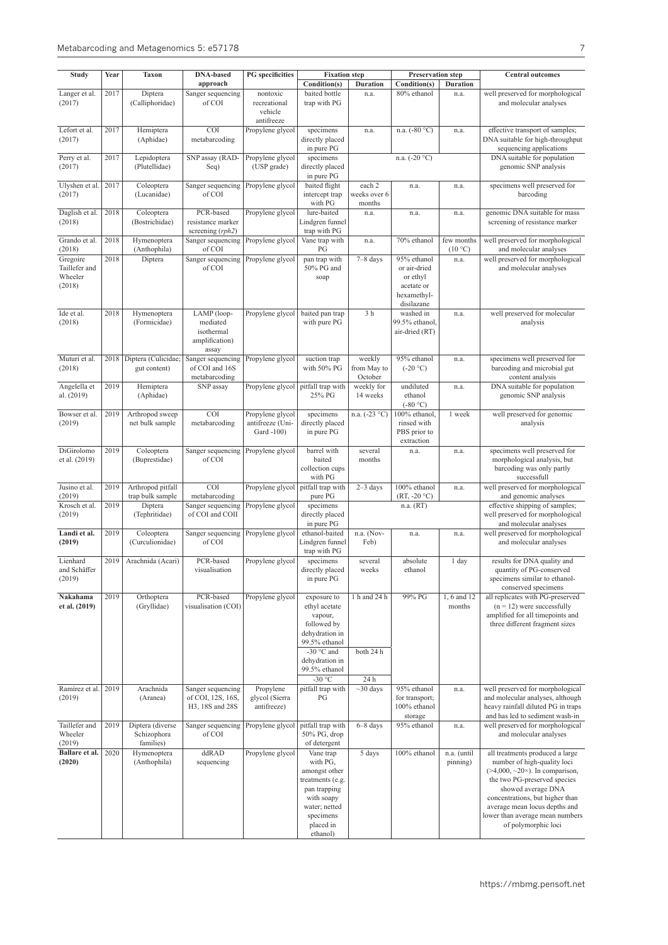| Study                                          | Year | Taxon                                        | <b>DNA-based</b>                                          | <b>PG</b> specificities                    | <b>Fixation</b> step                                                                                                                                |                                  | <b>Preservation step</b>                                                           |                         | <b>Central outcomes</b>                                                                                                                                                                                                                                                                   |
|------------------------------------------------|------|----------------------------------------------|-----------------------------------------------------------|--------------------------------------------|-----------------------------------------------------------------------------------------------------------------------------------------------------|----------------------------------|------------------------------------------------------------------------------------|-------------------------|-------------------------------------------------------------------------------------------------------------------------------------------------------------------------------------------------------------------------------------------------------------------------------------------|
|                                                |      |                                              | approach                                                  |                                            | Condition(s)                                                                                                                                        | <b>Duration</b>                  | Condition(s)                                                                       | Duration                |                                                                                                                                                                                                                                                                                           |
| Langer et al.                                  | 2017 | Diptera                                      | Sanger sequencing                                         | nontoxic                                   | baited bottle                                                                                                                                       | n.a.                             | 80% ethanol                                                                        | n.a.                    | well preserved for morphological                                                                                                                                                                                                                                                          |
| (2017)                                         |      | (Calliphoridae)                              | of COI                                                    | recreational<br>vehicle                    | trap with PG                                                                                                                                        |                                  |                                                                                    |                         | and molecular analyses                                                                                                                                                                                                                                                                    |
|                                                |      |                                              |                                                           | antifreeze                                 |                                                                                                                                                     |                                  |                                                                                    |                         |                                                                                                                                                                                                                                                                                           |
| Lefort et al.<br>(2017)                        | 2017 | Hemiptera<br>(Aphidae)                       | <b>COI</b><br>metabarcoding                               | Propylene glycol                           | specimens<br>directly placed                                                                                                                        | n.a.                             | n.a. $(-80 °C)$                                                                    | n.a.                    | effective transport of samples;<br>DNA suitable for high-throughput                                                                                                                                                                                                                       |
| Perry et al.                                   | 2017 | Lepidoptera                                  | SNP assay (RAD-                                           | Propylene glycol                           | in pure PG<br>specimens                                                                                                                             |                                  | n.a. $(-20 °C)$                                                                    |                         | sequencing applications<br>DNA suitable for population                                                                                                                                                                                                                                    |
| (2017)                                         |      | (Plutellidae)                                | Seq)                                                      | (USP grade)                                | directly placed<br>in pure PG                                                                                                                       |                                  |                                                                                    |                         | genomic SNP analysis                                                                                                                                                                                                                                                                      |
| Ulyshen et al.                                 | 2017 | Coleoptera                                   | Sanger sequencing                                         | Propylene glycol                           | baited flight                                                                                                                                       | each 2                           | n.a.                                                                               | n.a.                    | specimens well preserved for                                                                                                                                                                                                                                                              |
| (2017)                                         |      | (Lucanidae)                                  | of COI                                                    |                                            | intercept trap<br>with PG                                                                                                                           | weeks over 6<br>months           |                                                                                    |                         | barcoding                                                                                                                                                                                                                                                                                 |
| Daglish et al.<br>(2018)                       | 2018 | Coleoptera<br>(Bostrichidae)                 | PCR-based<br>resistance marker<br>screening $(rph2)$      | Propylene glycol                           | lure-baited<br>Lindgren funnel<br>trap with PG                                                                                                      | n.a.                             | n.a.                                                                               | n.a.                    | genomic DNA suitable for mass<br>screening of resistance marker                                                                                                                                                                                                                           |
| Grando et al.<br>(2018)                        | 2018 | Hymenoptera<br>(Anthophila)                  | Sanger sequencing<br>of COI                               | Propylene glycol                           | Vane trap with<br>PG                                                                                                                                | n.a.                             | 70% ethanol                                                                        | few months<br>(10 °C)   | well preserved for morphological<br>and molecular analyses                                                                                                                                                                                                                                |
| Gregoire<br>Taillefer and<br>Wheeler<br>(2018) | 2018 | Diptera                                      | Sanger sequencing<br>of COI                               | Propylene glycol                           | pan trap with<br>50% PG and<br>soap                                                                                                                 | $7-8$ days                       | 95% ethanol<br>or air-dried<br>or ethyl<br>acetate or<br>hexamethyl-<br>disilazane | n.a.                    | well preserved for morphological<br>and molecular analyses                                                                                                                                                                                                                                |
| Ide et al.                                     | 2018 | Hymenoptera                                  | LAMP (loop-                                               | Propylene glycol                           | baited pan trap                                                                                                                                     | 3 <sub>h</sub>                   | washed in                                                                          | n.a.                    | well preserved for molecular                                                                                                                                                                                                                                                              |
| (2018)                                         |      | (Formicidae)                                 | mediated<br>isothermal<br>amplification)<br>assay         |                                            | with pure PG                                                                                                                                        |                                  | 99.5% ethanol.<br>air-dried (RT)                                                   |                         | analysis                                                                                                                                                                                                                                                                                  |
| Muturi et al.<br>(2018)                        | 2018 | Diptera (Culicidae;<br>gut content)          | Sanger sequencing<br>of COI and 16S<br>metabarcoding      | Propylene glycol                           | suction trap<br>with 50% PG                                                                                                                         | weekly<br>from May to<br>October | 95% ethanol<br>$(-20 °C)$                                                          | n.a.                    | specimens well preserved for<br>barcoding and microbial gut<br>content analysis                                                                                                                                                                                                           |
| Angelella et<br>al. (2019)                     | 2019 | Hemiptera<br>(Aphidae)                       | SNP assay                                                 | Propylene glycol                           | pitfall trap with<br>25% PG                                                                                                                         | weekly for<br>14 weeks           | undiluted<br>ethanol<br>$(-80 °C)$                                                 | n.a.                    | DNA suitable for population<br>genomic SNP analysis                                                                                                                                                                                                                                       |
| Bowser et al.                                  | 2019 | Arthropod sweep                              | <b>COI</b>                                                | Propylene glycol                           | specimens                                                                                                                                           | n.a. $(-23 °C)$                  | 100% ethanol,                                                                      | 1 week                  | well preserved for genomic                                                                                                                                                                                                                                                                |
| (2019)                                         |      | net bulk sample                              | metabarcoding                                             | antifreeze (Uni-<br>Gard -100)             | directly placed<br>in pure PG                                                                                                                       |                                  | rinsed with<br>PBS prior to<br>extraction                                          |                         | analysis                                                                                                                                                                                                                                                                                  |
| DiGirolomo<br>et al. (2019)                    | 2019 | Coleoptera<br>(Buprestidae)                  | Sanger sequencing<br>of COI                               | Propylene glycol                           | barrel with<br>baited<br>collection cups<br>with PG                                                                                                 | several<br>months                | n.a.                                                                               | n.a.                    | specimens well preserved for<br>morphological analysis, but<br>barcoding was only partly<br>successfull                                                                                                                                                                                   |
| Jusino et al.<br>(2019)                        | 2019 | Arthropod pitfall<br>trap bulk sample        | <b>COI</b><br>metabarcoding                               | Propylene glycol pitfall trap with         | pure PG                                                                                                                                             | $2-3$ days                       | 100% ethanol<br>$(RT, -20 °C)$                                                     | n.a.                    | well preserved for morphological<br>and genomic analyses                                                                                                                                                                                                                                  |
| Krosch et al.<br>(2019)                        | 2019 | Diptera<br>(Tephritidae)                     | Sanger sequencing<br>of COI and COII                      | Propylene glycol                           | specimens<br>directly placed<br>in pure PG                                                                                                          |                                  | n.a. (RT)                                                                          |                         | effective shipping of samples;<br>well preserved for morphological<br>and molecular analyses                                                                                                                                                                                              |
| Landi et al.<br>(2019)                         | 2019 | Coleoptera<br>(Curculionidae)                | Sanger sequencing<br>of COI                               | Propylene glycol                           | ethanol-baited<br>Lindgren funnel<br>trap with PG                                                                                                   | n.a. (Nov-<br>Feb)               | n.a.                                                                               | n.a.                    | well preserved for morphological<br>and molecular analyses                                                                                                                                                                                                                                |
| Lienhard<br>and Schäffer<br>(2019)             | 2019 | Arachnida (Acari)                            | PCR-based<br>visualisation                                | Propylene glycol                           | specimens<br>directly placed<br>in pure PG                                                                                                          | several<br>weeks                 | absolute<br>ethanol                                                                | 1 day                   | results for DNA quality and<br>quantity of PG-conserved<br>specimens similar to ethanol-<br>conserved specimens                                                                                                                                                                           |
| Nakahama<br>et al. (2019)                      | 2019 | Orthoptera<br>(Gryllidae)                    | PCR-based<br>visualisation (COI)                          | Propylene glycol                           | exposure to<br>ethyl acetate<br>vapour,<br>followed by<br>dehydration in<br>99.5% ethanol<br>-30 $\degree$ C and<br>dehydration in<br>99.5% ethanol | 1 h and 24 h<br>both 24 h        | 99% PG                                                                             | 1, 6 and 12<br>months   | all replicates with PG-preserved<br>$(n = 12)$ were successfully<br>amplified for all timepoints and<br>three different fragment sizes                                                                                                                                                    |
|                                                |      |                                              |                                                           |                                            | -30 $\degree$ C                                                                                                                                     | 24 h                             |                                                                                    |                         |                                                                                                                                                                                                                                                                                           |
| Ramírez et al.<br>(2019)                       | 2019 | Arachnida<br>(Aranea)                        | Sanger sequencing<br>of COI, 12S, 16S,<br>H3, 18S and 28S | Propylene<br>glycol (Sierra<br>antifreeze) | pitfall trap with<br>PG                                                                                                                             | $~10$ days                       | 95% ethanol<br>for transport;<br>100% ethanol<br>storage                           | n.a.                    | well preserved for morphological<br>and molecular analyses, although<br>heavy rainfall diluted PG in traps<br>and has led to sediment wash-in                                                                                                                                             |
| Taillefer and<br>Wheeler<br>(2019)             | 2019 | Diptera (diverse<br>Schizophora<br>families) | Sanger sequencing<br>of COI                               | Propylene glycol                           | pitfall trap with<br>50% PG, drop<br>of detergent                                                                                                   | $6 - 8$ days                     | 95% ethanol                                                                        | n.a.                    | well preserved for morphological<br>and molecular analyses                                                                                                                                                                                                                                |
| Ballare et al.<br>(2020)                       | 2020 | Hymenoptera<br>(Anthophila)                  | ddRAD<br>sequencing                                       | Propylene glycol                           | Vane trap<br>with PG,<br>amongst other<br>treatments (e.g.<br>pan trapping<br>with soapy<br>water; netted<br>specimens<br>placed in<br>ethanol)     | 5 days                           | 100% ethanol                                                                       | n.a. (until<br>pinning) | all treatments produced a large<br>number of high-quality loci<br>$(>4,000, \sim20)$ . In comparison,<br>the two PG-preserved species<br>showed average DNA<br>concentrations, but higher than<br>average mean locus depths and<br>lower than average mean numbers<br>of polymorphic loci |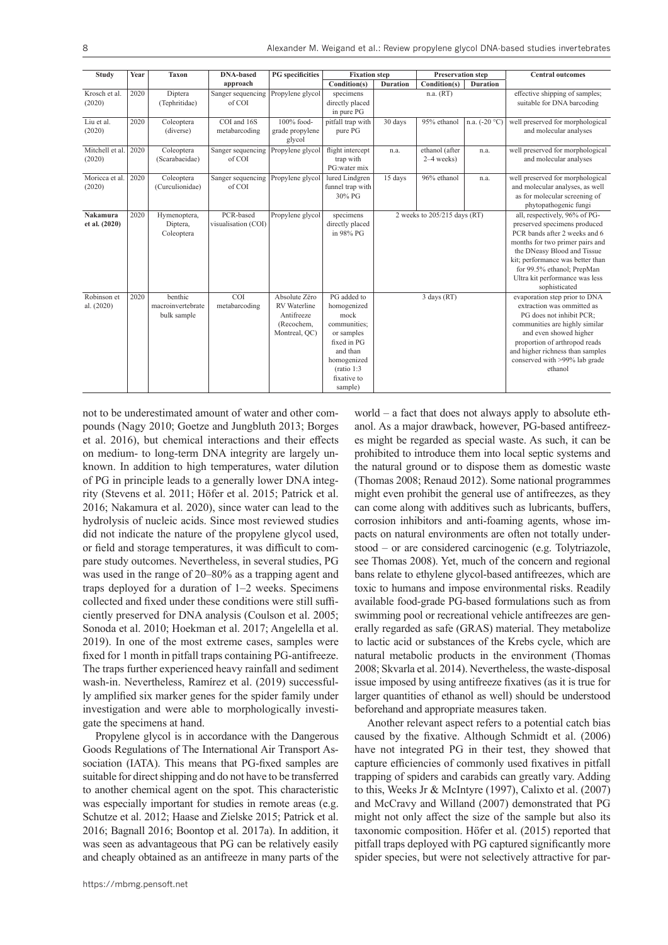| Study                     | Year | <b>Taxon</b>                                | <b>DNA-based</b>                 | <b>PG</b> specificities                                                           | <b>Fixation</b> step                                                                                                                                |                              | <b>Preservation step</b>       |                 | <b>Central outcomes</b>                                                                                                                                                                                                                                                               |
|---------------------------|------|---------------------------------------------|----------------------------------|-----------------------------------------------------------------------------------|-----------------------------------------------------------------------------------------------------------------------------------------------------|------------------------------|--------------------------------|-----------------|---------------------------------------------------------------------------------------------------------------------------------------------------------------------------------------------------------------------------------------------------------------------------------------|
|                           |      |                                             | approach                         |                                                                                   | Condition(s)                                                                                                                                        | <b>Duration</b>              | Condition(s)                   | <b>Duration</b> |                                                                                                                                                                                                                                                                                       |
| Krosch et al.<br>(2020)   | 2020 | Diptera<br>(Tephritidae)                    | Sanger sequencing<br>of COI      | Propylene glycol                                                                  | specimens<br>directly placed<br>in pure PG                                                                                                          |                              | n.a. (RT)                      |                 | effective shipping of samples;<br>suitable for DNA barcoding                                                                                                                                                                                                                          |
| Liu et al.<br>(2020)      | 2020 | Coleoptera<br>(diverse)                     | COI and 16S<br>metabarcoding     | 100% food-<br>grade propylene<br>glycol                                           | pitfall trap with<br>pure PG                                                                                                                        | 30 days                      | 95% ethanol                    | n.a. $(-20 °C)$ | well preserved for morphological<br>and molecular analyses                                                                                                                                                                                                                            |
| Mitchell et al.<br>(2020) | 2020 | Coleoptera<br>(Scarabaeidae)                | Sanger sequencing<br>of COI      | Propylene glycol                                                                  | flight intercept<br>trap with<br>PG:water mix                                                                                                       | n.a.                         | ethanol (after<br>$2-4$ weeks) | n.a.            | well preserved for morphological<br>and molecular analyses                                                                                                                                                                                                                            |
| Moricca et al.<br>(2020)  | 2020 | Coleoptera<br>(Curculionidae)               | Sanger sequencing<br>of COI      | Propylene glycol                                                                  | lured Lindgren<br>funnel trap with<br>30% PG                                                                                                        | 15 days                      | 96% ethanol                    | n.a.            | well preserved for morphological<br>and molecular analyses, as well<br>as for molecular screening of<br>phytopathogenic fungi                                                                                                                                                         |
| Nakamura<br>et al. (2020) | 2020 | Hymenoptera,<br>Diptera,<br>Coleoptera      | PCR-based<br>visualisation (COI) | Propylene glycol                                                                  | specimens<br>directly placed<br>in 98% PG                                                                                                           | 2 weeks to 205/215 days (RT) |                                |                 | all, respectively, 96% of PG-<br>preserved specimens produced<br>PCR bands after 2 weeks and 6<br>months for two primer pairs and<br>the DNeasy Blood and Tissue<br>kit; performance was better than<br>for 99.5% ethanol; PrepMan<br>Ultra kit performance was less<br>sophisticated |
| Robinson et<br>al. (2020) | 2020 | benthic<br>macroinvertebrate<br>bulk sample | <b>COI</b><br>metabarcoding      | Absolute Zëro<br><b>RV</b> Waterline<br>Antifreeze<br>(Recochem,<br>Montreal, QC) | PG added to<br>homogenized<br>mock<br>communities;<br>or samples<br>fixed in PG<br>and than<br>homogenized<br>(ratio 1:3)<br>fixative to<br>sample) |                              | 3 days (RT)                    |                 | evaporation step prior to DNA<br>extraction was ommitted as<br>PG does not inhibit PCR;<br>communities are highly similar<br>and even showed higher<br>proportion of arthropod reads<br>and higher richness than samples<br>conserved with >99% lab grade<br>ethanol                  |

not to be underestimated amount of water and other compounds (Nagy 2010; Goetze and Jungbluth 2013; Borges et al. 2016), but chemical interactions and their effects on medium- to long-term DNA integrity are largely unknown. In addition to high temperatures, water dilution of PG in principle leads to a generally lower DNA integrity (Stevens et al. 2011; Höfer et al. 2015; Patrick et al. 2016; Nakamura et al. 2020), since water can lead to the hydrolysis of nucleic acids. Since most reviewed studies did not indicate the nature of the propylene glycol used, or field and storage temperatures, it was difficult to compare study outcomes. Nevertheless, in several studies, PG was used in the range of 20–80% as a trapping agent and traps deployed for a duration of 1–2 weeks. Specimens collected and fixed under these conditions were still sufficiently preserved for DNA analysis (Coulson et al. 2005; Sonoda et al. 2010; Hoekman et al. 2017; Angelella et al. 2019). In one of the most extreme cases, samples were fixed for 1 month in pitfall traps containing PG-antifreeze. The traps further experienced heavy rainfall and sediment wash-in. Nevertheless, Ramírez et al. (2019) successfully amplified six marker genes for the spider family under investigation and were able to morphologically investigate the specimens at hand.

Propylene glycol is in accordance with the Dangerous Goods Regulations of The International Air Transport Association (IATA). This means that PG-fixed samples are suitable for direct shipping and do not have to be transferred to another chemical agent on the spot. This characteristic was especially important for studies in remote areas (e.g. Schutze et al. 2012; Haase and Zielske 2015; Patrick et al. 2016; Bagnall 2016; Boontop et al. 2017a). In addition, it was seen as advantageous that PG can be relatively easily and cheaply obtained as an antifreeze in many parts of the

world – a fact that does not always apply to absolute ethanol. As a major drawback, however, PG-based antifreezes might be regarded as special waste. As such, it can be prohibited to introduce them into local septic systems and the natural ground or to dispose them as domestic waste (Thomas 2008; Renaud 2012). Some national programmes might even prohibit the general use of antifreezes, as they can come along with additives such as lubricants, buffers, corrosion inhibitors and anti-foaming agents, whose impacts on natural environments are often not totally understood – or are considered carcinogenic (e.g. Tolytriazole, see Thomas 2008). Yet, much of the concern and regional bans relate to ethylene glycol-based antifreezes, which are toxic to humans and impose environmental risks. Readily available food-grade PG-based formulations such as from swimming pool or recreational vehicle antifreezes are generally regarded as safe (GRAS) material. They metabolize to lactic acid or substances of the Krebs cycle, which are natural metabolic products in the environment (Thomas 2008; Skvarla et al. 2014). Nevertheless, the waste-disposal issue imposed by using antifreeze fixatives (as it is true for larger quantities of ethanol as well) should be understood beforehand and appropriate measures taken.

Another relevant aspect refers to a potential catch bias caused by the fixative. Although Schmidt et al. (2006) have not integrated PG in their test, they showed that capture efficiencies of commonly used fixatives in pitfall trapping of spiders and carabids can greatly vary. Adding to this, Weeks Jr & McIntyre (1997), Calixto et al. (2007) and McCravy and Willand (2007) demonstrated that PG might not only affect the size of the sample but also its taxonomic composition. Höfer et al. (2015) reported that pitfall traps deployed with PG captured significantly more spider species, but were not selectively attractive for par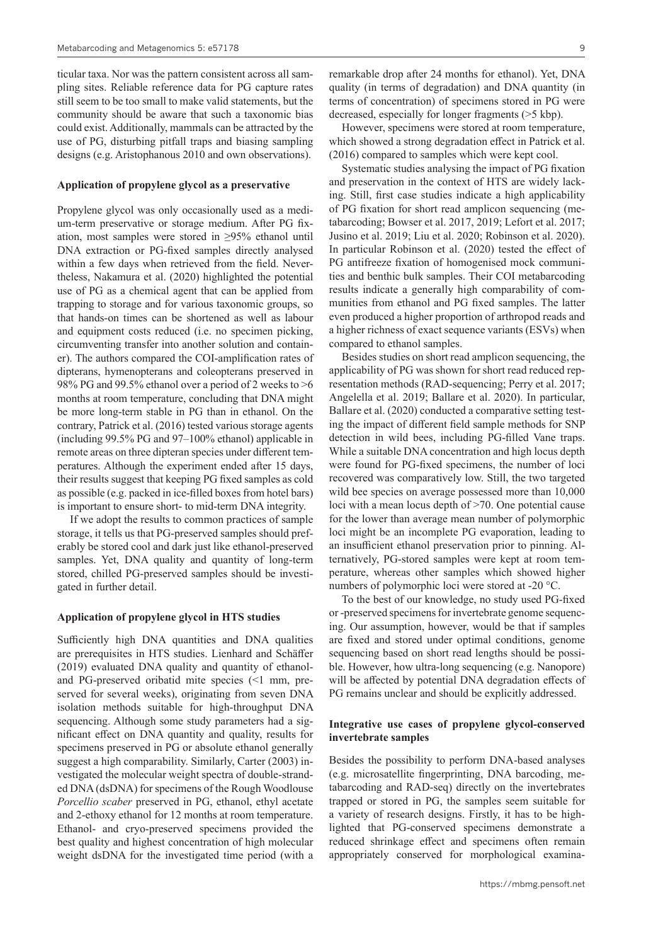ticular taxa. Nor was the pattern consistent across all sampling sites. Reliable reference data for PG capture rates still seem to be too small to make valid statements, but the community should be aware that such a taxonomic bias could exist. Additionally, mammals can be attracted by the use of PG, disturbing pitfall traps and biasing sampling designs (e.g. Aristophanous 2010 and own observations).

#### **Application of propylene glycol as a preservative**

Propylene glycol was only occasionally used as a medium-term preservative or storage medium. After PG fixation, most samples were stored in ≥95% ethanol until DNA extraction or PG-fixed samples directly analysed within a few days when retrieved from the field. Nevertheless, Nakamura et al. (2020) highlighted the potential use of PG as a chemical agent that can be applied from trapping to storage and for various taxonomic groups, so that hands-on times can be shortened as well as labour and equipment costs reduced (i.e. no specimen picking, circumventing transfer into another solution and container). The authors compared the COI-amplification rates of dipterans, hymenopterans and coleopterans preserved in 98% PG and 99.5% ethanol over a period of 2 weeks to >6 months at room temperature, concluding that DNA might be more long-term stable in PG than in ethanol. On the contrary, Patrick et al. (2016) tested various storage agents (including 99.5% PG and 97–100% ethanol) applicable in remote areas on three dipteran species under different temperatures. Although the experiment ended after 15 days, their results suggest that keeping PG fixed samples as cold as possible (e.g. packed in ice-filled boxes from hotel bars) is important to ensure short- to mid-term DNA integrity.

If we adopt the results to common practices of sample storage, it tells us that PG-preserved samples should preferably be stored cool and dark just like ethanol-preserved samples. Yet, DNA quality and quantity of long-term stored, chilled PG-preserved samples should be investigated in further detail.

### **Application of propylene glycol in HTS studies**

Sufficiently high DNA quantities and DNA qualities are prerequisites in HTS studies. Lienhard and Schäffer (2019) evaluated DNA quality and quantity of ethanoland PG-preserved oribatid mite species (<1 mm, preserved for several weeks), originating from seven DNA isolation methods suitable for high-throughput DNA sequencing. Although some study parameters had a significant effect on DNA quantity and quality, results for specimens preserved in PG or absolute ethanol generally suggest a high comparability. Similarly, Carter (2003) investigated the molecular weight spectra of double-stranded DNA (dsDNA) for specimens of the Rough Woodlouse *Porcellio scaber* preserved in PG, ethanol, ethyl acetate and 2-ethoxy ethanol for 12 months at room temperature. Ethanol- and cryo-preserved specimens provided the best quality and highest concentration of high molecular weight dsDNA for the investigated time period (with a

remarkable drop after 24 months for ethanol). Yet, DNA quality (in terms of degradation) and DNA quantity (in terms of concentration) of specimens stored in PG were decreased, especially for longer fragments (>5 kbp).

However, specimens were stored at room temperature, which showed a strong degradation effect in Patrick et al. (2016) compared to samples which were kept cool.

Systematic studies analysing the impact of PG fixation and preservation in the context of HTS are widely lacking. Still, first case studies indicate a high applicability of PG fixation for short read amplicon sequencing (metabarcoding; Bowser et al. 2017, 2019; Lefort et al. 2017; Jusino et al. 2019; Liu et al. 2020; Robinson et al. 2020). In particular Robinson et al. (2020) tested the effect of PG antifreeze fixation of homogenised mock communities and benthic bulk samples. Their COI metabarcoding results indicate a generally high comparability of communities from ethanol and PG fixed samples. The latter even produced a higher proportion of arthropod reads and a higher richness of exact sequence variants (ESVs) when compared to ethanol samples.

Besides studies on short read amplicon sequencing, the applicability of PG was shown for short read reduced representation methods (RAD-sequencing; Perry et al. 2017; Angelella et al. 2019; Ballare et al. 2020). In particular, Ballare et al. (2020) conducted a comparative setting testing the impact of different field sample methods for SNP detection in wild bees, including PG-filled Vane traps. While a suitable DNA concentration and high locus depth were found for PG-fixed specimens, the number of loci recovered was comparatively low. Still, the two targeted wild bee species on average possessed more than 10,000 loci with a mean locus depth of >70. One potential cause for the lower than average mean number of polymorphic loci might be an incomplete PG evaporation, leading to an insufficient ethanol preservation prior to pinning. Alternatively, PG-stored samples were kept at room temperature, whereas other samples which showed higher numbers of polymorphic loci were stored at -20 °C.

To the best of our knowledge, no study used PG-fixed or -preserved specimens for invertebrate genome sequencing. Our assumption, however, would be that if samples are fixed and stored under optimal conditions, genome sequencing based on short read lengths should be possible. However, how ultra-long sequencing (e.g. Nanopore) will be affected by potential DNA degradation effects of PG remains unclear and should be explicitly addressed.

### **Integrative use cases of propylene glycol-conserved invertebrate samples**

Besides the possibility to perform DNA-based analyses (e.g. microsatellite fingerprinting, DNA barcoding, metabarcoding and RAD-seq) directly on the invertebrates trapped or stored in PG, the samples seem suitable for a variety of research designs. Firstly, it has to be highlighted that PG-conserved specimens demonstrate a reduced shrinkage effect and specimens often remain appropriately conserved for morphological examina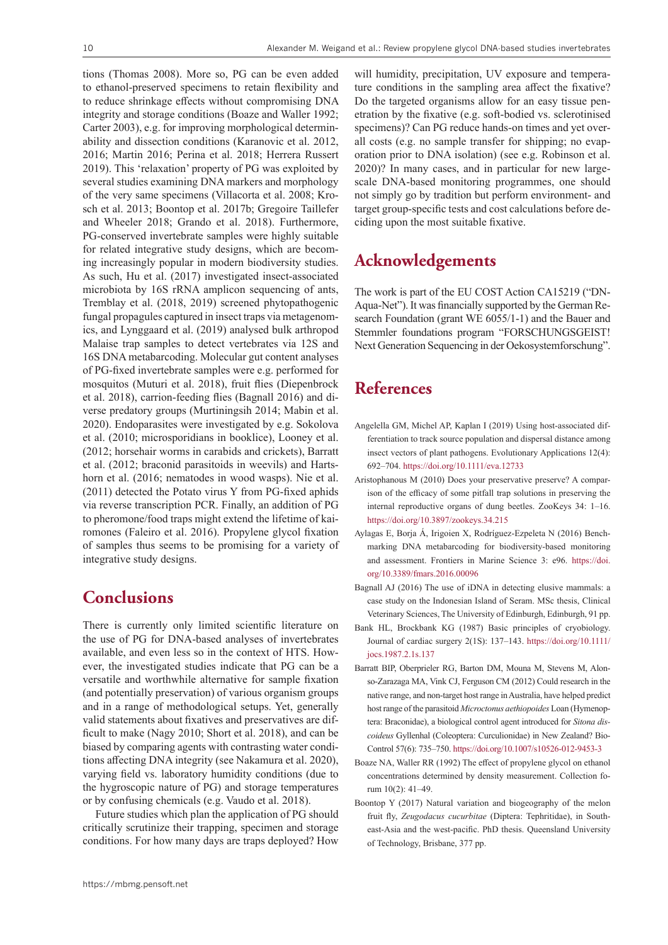tions (Thomas 2008). More so, PG can be even added to ethanol-preserved specimens to retain flexibility and to reduce shrinkage effects without compromising DNA integrity and storage conditions (Boaze and Waller 1992; Carter 2003), e.g. for improving morphological determinability and dissection conditions (Karanovic et al. 2012, 2016; Martin 2016; Perina et al. 2018; Herrera Russert 2019). This 'relaxation' property of PG was exploited by several studies examining DNA markers and morphology of the very same specimens (Villacorta et al. 2008; Krosch et al. 2013; Boontop et al. 2017b; Gregoire Taillefer and Wheeler 2018; Grando et al. 2018). Furthermore, PG-conserved invertebrate samples were highly suitable for related integrative study designs, which are becoming increasingly popular in modern biodiversity studies. As such, Hu et al. (2017) investigated insect-associated microbiota by 16S rRNA amplicon sequencing of ants, Tremblay et al. (2018, 2019) screened phytopathogenic fungal propagules captured in insect traps via metagenomics, and Lynggaard et al. (2019) analysed bulk arthropod Malaise trap samples to detect vertebrates via 12S and 16S DNA metabarcoding. Molecular gut content analyses of PG-fixed invertebrate samples were e.g. performed for mosquitos (Muturi et al. 2018), fruit flies (Diepenbrock et al. 2018), carrion-feeding flies (Bagnall 2016) and diverse predatory groups (Murtiningsih 2014; Mabin et al. 2020). Endoparasites were investigated by e.g. Sokolova et al. (2010; microsporidians in booklice), Looney et al. (2012; horsehair worms in carabids and crickets), Barratt et al. (2012; braconid parasitoids in weevils) and Hartshorn et al. (2016; nematodes in wood wasps). Nie et al. (2011) detected the Potato virus Y from PG-fixed aphids via reverse transcription PCR. Finally, an addition of PG to pheromone/food traps might extend the lifetime of kairomones (Faleiro et al. 2016). Propylene glycol fixation of samples thus seems to be promising for a variety of integrative study designs.

### **Conclusions**

There is currently only limited scientific literature on the use of PG for DNA-based analyses of invertebrates available, and even less so in the context of HTS. However, the investigated studies indicate that PG can be a versatile and worthwhile alternative for sample fixation (and potentially preservation) of various organism groups and in a range of methodological setups. Yet, generally valid statements about fixatives and preservatives are difficult to make (Nagy 2010; Short et al. 2018), and can be biased by comparing agents with contrasting water conditions affecting DNA integrity (see Nakamura et al. 2020), varying field vs. laboratory humidity conditions (due to the hygroscopic nature of PG) and storage temperatures or by confusing chemicals (e.g. Vaudo et al. 2018).

Future studies which plan the application of PG should critically scrutinize their trapping, specimen and storage conditions. For how many days are traps deployed? How

will humidity, precipitation, UV exposure and temperature conditions in the sampling area affect the fixative? Do the targeted organisms allow for an easy tissue penetration by the fixative (e.g. soft-bodied vs. sclerotinised specimens)? Can PG reduce hands-on times and yet overall costs (e.g. no sample transfer for shipping; no evaporation prior to DNA isolation) (see e.g. Robinson et al. 2020)? In many cases, and in particular for new largescale DNA-based monitoring programmes, one should not simply go by tradition but perform environment- and target group-specific tests and cost calculations before deciding upon the most suitable fixative.

## **Acknowledgements**

The work is part of the EU COST Action CA15219 ("DN-Aqua-Net"). It was financially supported by the German Research Foundation (grant WE 6055/1-1) and the Bauer and Stemmler foundations program "FORSCHUNGSGEIST! Next Generation Sequencing in der Oekosystemforschung".

# **References**

- Angelella GM, Michel AP, Kaplan I (2019) Using host-associated differentiation to track source population and dispersal distance among insect vectors of plant pathogens. Evolutionary Applications 12(4): 692–704.<https://doi.org/10.1111/eva.12733>
- Aristophanous M (2010) Does your preservative preserve? A comparison of the efficacy of some pitfall trap solutions in preserving the internal reproductive organs of dung beetles. ZooKeys 34: 1–16. <https://doi.org/10.3897/zookeys.34.215>
- Aylagas E, Borja Á, Irigoien X, Rodríguez-Ezpeleta N (2016) Benchmarking DNA metabarcoding for biodiversity-based monitoring and assessment. Frontiers in Marine Science 3: e96. [https://doi.](https://doi.org/10.3389/fmars.2016.00096) [org/10.3389/fmars.2016.00096](https://doi.org/10.3389/fmars.2016.00096)
- Bagnall AJ (2016) The use of iDNA in detecting elusive mammals: a case study on the Indonesian Island of Seram. MSc thesis, Clinical Veterinary Sciences, The University of Edinburgh, Edinburgh, 91 pp.
- Bank HL, Brockbank KG (1987) Basic principles of cryobiology. Journal of cardiac surgery 2(1S): 137–143. [https://doi.org/10.1111/](https://doi.org/10.1111/jocs.1987.2.1s.137) [jocs.1987.2.1s.137](https://doi.org/10.1111/jocs.1987.2.1s.137)
- Barratt BIP, Oberprieler RG, Barton DM, Mouna M, Stevens M, Alonso-Zarazaga MA, Vink CJ, Ferguson CM (2012) Could research in the native range, and non-target host range in Australia, have helped predict host range of the parasitoid *Microctonus aethiopoides* Loan (Hymenoptera: Braconidae), a biological control agent introduced for *Sitona discoideus* Gyllenhal (Coleoptera: Curculionidae) in New Zealand? Bio-Control 57(6): 735–750.<https://doi.org/10.1007/s10526-012-9453-3>
- Boaze NA, Waller RR (1992) The effect of propylene glycol on ethanol concentrations determined by density measurement. Collection forum 10(2): 41–49.
- Boontop Y (2017) Natural variation and biogeography of the melon fruit fly, *Zeugodacus cucurbitae* (Diptera: Tephritidae), in Southeast-Asia and the west-pacific. PhD thesis. Queensland University of Technology, Brisbane, 377 pp.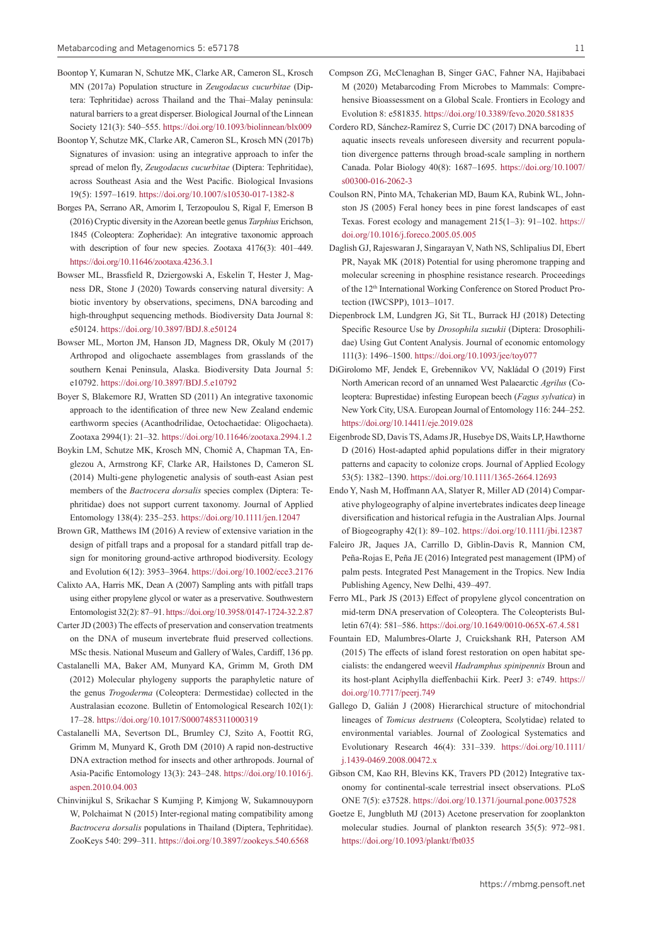- Boontop Y, Kumaran N, Schutze MK, Clarke AR, Cameron SL, Krosch MN (2017a) Population structure in *Zeugodacus cucurbitae* (Diptera: Tephritidae) across Thailand and the Thai–Malay peninsula: natural barriers to a great disperser. Biological Journal of the Linnean Society 121(3): 540–555.<https://doi.org/10.1093/biolinnean/blx009>
- Boontop Y, Schutze MK, Clarke AR, Cameron SL, Krosch MN (2017b) Signatures of invasion: using an integrative approach to infer the spread of melon fly, *Zeugodacus cucurbitae* (Diptera: Tephritidae), across Southeast Asia and the West Pacific. Biological Invasions 19(5): 1597–1619. <https://doi.org/10.1007/s10530-017-1382-8>
- Borges PA, Serrano AR, Amorim I, Terzopoulou S, Rigal F, Emerson B (2016) Cryptic diversity in the Azorean beetle genus *Tarphius* Erichson, 1845 (Coleoptera: Zopheridae): An integrative taxonomic approach with description of four new species. Zootaxa 4176(3): 401–449. <https://doi.org/10.11646/zootaxa.4236.3.1>
- Bowser ML, Brassfield R, Dziergowski A, Eskelin T, Hester J, Magness DR, Stone J (2020) Towards conserving natural diversity: A biotic inventory by observations, specimens, DNA barcoding and high-throughput sequencing methods. Biodiversity Data Journal 8: e50124. <https://doi.org/10.3897/BDJ.8.e50124>
- Bowser ML, Morton JM, Hanson JD, Magness DR, Okuly M (2017) Arthropod and oligochaete assemblages from grasslands of the southern Kenai Peninsula, Alaska. Biodiversity Data Journal 5: e10792. <https://doi.org/10.3897/BDJ.5.e10792>
- Boyer S, Blakemore RJ, Wratten SD (2011) An integrative taxonomic approach to the identification of three new New Zealand endemic earthworm species (Acanthodrilidae, Octochaetidae: Oligochaeta). Zootaxa 2994(1): 21–32.<https://doi.org/10.11646/zootaxa.2994.1.2>
- Boykin LM, Schutze MK, Krosch MN, Chomič A, Chapman TA, Englezou A, Armstrong KF, Clarke AR, Hailstones D, Cameron SL (2014) Multi-gene phylogenetic analysis of south-east Asian pest members of the *Bactrocera dorsalis* species complex (Diptera: Tephritidae) does not support current taxonomy. Journal of Applied Entomology 138(4): 235–253.<https://doi.org/10.1111/jen.12047>
- Brown GR, Matthews IM (2016) A review of extensive variation in the design of pitfall traps and a proposal for a standard pitfall trap design for monitoring ground-active arthropod biodiversity. Ecology and Evolution 6(12): 3953–3964.<https://doi.org/10.1002/ece3.2176>
- Calixto AA, Harris MK, Dean A (2007) Sampling ants with pitfall traps using either propylene glycol or water as a preservative. Southwestern Entomologist 32(2): 87–91.<https://doi.org/10.3958/0147-1724-32.2.87>
- Carter JD (2003) The effects of preservation and conservation treatments on the DNA of museum invertebrate fluid preserved collections. MSc thesis. National Museum and Gallery of Wales, Cardiff, 136 pp.
- Castalanelli MA, Baker AM, Munyard KA, Grimm M, Groth DM (2012) Molecular phylogeny supports the paraphyletic nature of the genus *Trogoderma* (Coleoptera: Dermestidae) collected in the Australasian ecozone. Bulletin of Entomological Research 102(1): 17–28. <https://doi.org/10.1017/S0007485311000319>
- Castalanelli MA, Severtson DL, Brumley CJ, Szito A, Foottit RG, Grimm M, Munyard K, Groth DM (2010) A rapid non-destructive DNA extraction method for insects and other arthropods. Journal of Asia-Pacific Entomology 13(3): 243–248. [https://doi.org/10.1016/j.](https://doi.org/10.1016/j.aspen.2010.04.003) [aspen.2010.04.003](https://doi.org/10.1016/j.aspen.2010.04.003)
- Chinvinijkul S, Srikachar S Kumjing P, Kimjong W, Sukamnouyporn W, Polchaimat N (2015) Inter-regional mating compatibility among *Bactrocera dorsalis* populations in Thailand (Diptera, Tephritidae). ZooKeys 540: 299–311. <https://doi.org/10.3897/zookeys.540.6568>
- Compson ZG, McClenaghan B, Singer GAC, Fahner NA, Hajibabaei M (2020) Metabarcoding From Microbes to Mammals: Comprehensive Bioassessment on a Global Scale. Frontiers in Ecology and Evolution 8: e581835.<https://doi.org/10.3389/fevo.2020.581835>
- Cordero RD, Sánchez-Ramírez S, Currie DC (2017) DNA barcoding of aquatic insects reveals unforeseen diversity and recurrent population divergence patterns through broad-scale sampling in northern Canada. Polar Biology 40(8): 1687–1695. [https://doi.org/10.1007/](https://doi.org/10.1007/s00300-016-2062-3) [s00300-016-2062-3](https://doi.org/10.1007/s00300-016-2062-3)
- Coulson RN, Pinto MA, Tchakerian MD, Baum KA, Rubink WL, Johnston JS (2005) Feral honey bees in pine forest landscapes of east Texas. Forest ecology and management 215(1–3): 91–102. [https://](https://doi.org/10.1016/j.foreco.2005.05.005) [doi.org/10.1016/j.foreco.2005.05.005](https://doi.org/10.1016/j.foreco.2005.05.005)
- Daglish GJ, Rajeswaran J, Singarayan V, Nath NS, Schlipalius DI, Ebert PR, Nayak MK (2018) Potential for using pheromone trapping and molecular screening in phosphine resistance research. Proceedings of the 12<sup>th</sup> International Working Conference on Stored Product Protection (IWCSPP), 1013–1017.
- Diepenbrock LM, Lundgren JG, Sit TL, Burrack HJ (2018) Detecting Specific Resource Use by *Drosophila suzukii* (Diptera: Drosophilidae) Using Gut Content Analysis. Journal of economic entomology 111(3): 1496–1500. <https://doi.org/10.1093/jee/toy077>
- DiGirolomo MF, Jendek E, Grebennikov VV, Nakládal O (2019) First North American record of an unnamed West Palaearctic *Agrilus* (Coleoptera: Buprestidae) infesting European beech (*Fagus sylvatica*) in New York City, USA. European Journal of Entomology 116: 244–252. <https://doi.org/10.14411/eje.2019.028>
- Eigenbrode SD, Davis TS, Adams JR, Husebye DS, Waits LP, Hawthorne D (2016) Host-adapted aphid populations differ in their migratory patterns and capacity to colonize crops. Journal of Applied Ecology 53(5): 1382–1390.<https://doi.org/10.1111/1365-2664.12693>
- Endo Y, Nash M, Hoffmann AA, Slatyer R, Miller AD (2014) Comparative phylogeography of alpine invertebrates indicates deep lineage diversification and historical refugia in the Australian Alps. Journal of Biogeography 42(1): 89–102. <https://doi.org/10.1111/jbi.12387>
- Faleiro JR, Jaques JA, Carrillo D, Giblin-Davis R, Mannion CM, Peña-Rojas E, Peña JE (2016) Integrated pest management (IPM) of palm pests. Integrated Pest Management in the Tropics. New India Publishing Agency, New Delhi, 439–497.
- Ferro ML, Park JS (2013) Effect of propylene glycol concentration on mid-term DNA preservation of Coleoptera. The Coleopterists Bulletin 67(4): 581–586.<https://doi.org/10.1649/0010-065X-67.4.581>
- Fountain ED, Malumbres-Olarte J, Cruickshank RH, Paterson AM (2015) The effects of island forest restoration on open habitat specialists: the endangered weevil *Hadramphus spinipennis* Broun and its host-plant Aciphylla dieffenbachii Kirk. PeerJ 3: e749. [https://](https://doi.org/10.7717/peerj.749) [doi.org/10.7717/peerj.749](https://doi.org/10.7717/peerj.749)
- Gallego D, Galián J (2008) Hierarchical structure of mitochondrial lineages of *Tomicus destruens* (Coleoptera, Scolytidae) related to environmental variables. Journal of Zoological Systematics and Evolutionary Research 46(4): 331–339. [https://doi.org/10.1111/](https://doi.org/10.1111/j.1439-0469.2008.00472.x) [j.1439-0469.2008.00472.x](https://doi.org/10.1111/j.1439-0469.2008.00472.x)
- Gibson CM, Kao RH, Blevins KK, Travers PD (2012) Integrative taxonomy for continental-scale terrestrial insect observations. PLoS ONE 7(5): e37528. <https://doi.org/10.1371/journal.pone.0037528>
- Goetze E, Jungbluth MJ (2013) Acetone preservation for zooplankton molecular studies. Journal of plankton research 35(5): 972–981. <https://doi.org/10.1093/plankt/fbt035>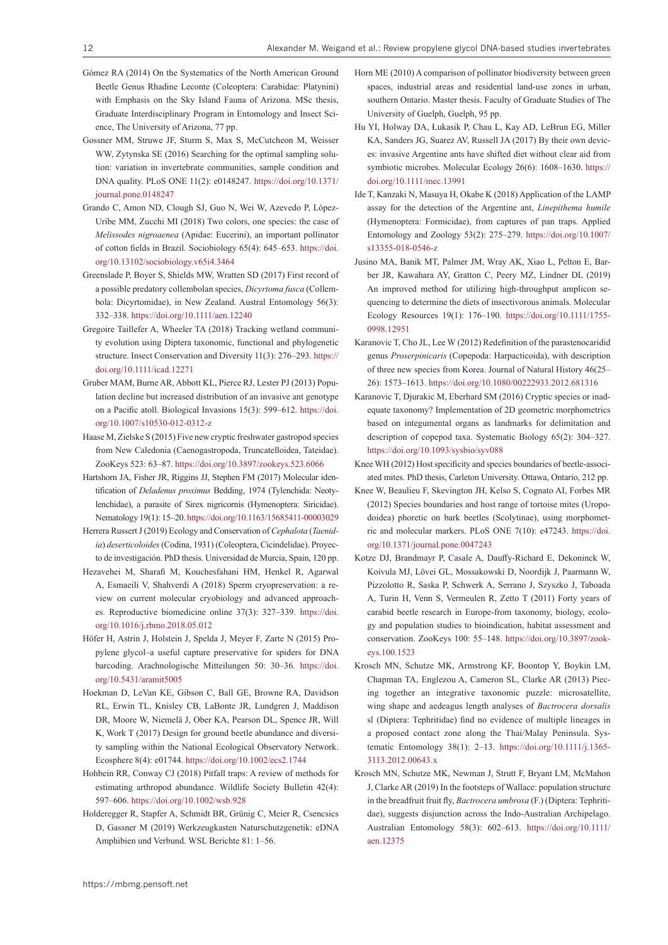- Gómez RA (2014) On the Systematics of the North American Ground Beetle Genus Rhadine Leconte (Coleoptera: Carabidae: Platynini) with Emphasis on the Sky Island Fauna of Arizona. MSc thesis, Graduate Interdisciplinary Program in Entomology and Insect Science, The University of Arizona, 77 pp.
- Gossner MM, Struwe JF, Sturm S, Max S, McCutcheon M, Weisser WW, Zytynska SE (2016) Searching for the optimal sampling solution: variation in invertebrate communities, sample condition and DNA quality. PLoS ONE 11(2): e0148247. [https://doi.org/10.1371/](https://doi.org/10.1371/journal.pone.0148247) [journal.pone.0148247](https://doi.org/10.1371/journal.pone.0148247)
- Grando C, Amon ND, Clough SJ, Guo N, Wei W, Azevedo P, López-Uribe MM, Zucchi MI (2018) Two colors, one species: the case of *Melissodes nigroaenea* (Apidae: Eucerini), an important pollinator of cotton fields in Brazil. Sociobiology 65(4): 645–653. [https://doi.](https://doi.org/10.13102/sociobiology.v65i4.3464) [org/10.13102/sociobiology.v65i4.3464](https://doi.org/10.13102/sociobiology.v65i4.3464)
- Greenslade P, Boyer S, Shields MW, Wratten SD (2017) First record of a possible predatory collembolan species, *Dicyrtoma fusca* (Collembola: Dicyrtomidae), in New Zealand. Austral Entomology 56(3): 332–338.<https://doi.org/10.1111/aen.12240>
- Gregoire Taillefer A, Wheeler TA (2018) Tracking wetland community evolution using Diptera taxonomic, functional and phylogenetic structure. Insect Conservation and Diversity 11(3): 276–293. [https://](https://doi.org/10.1111/icad.12271) [doi.org/10.1111/icad.12271](https://doi.org/10.1111/icad.12271)
- Gruber MAM, Burne AR, Abbott KL, Pierce RJ, Lester PJ (2013) Population decline but increased distribution of an invasive ant genotype on a Pacific atoll. Biological Invasions 15(3): 599–612. [https://doi.](https://doi.org/10.1007/s10530-012-0312-z) [org/10.1007/s10530-012-0312-z](https://doi.org/10.1007/s10530-012-0312-z)
- Haase M, Zielske S (2015) Five new cryptic freshwater gastropod species from New Caledonia (Caenogastropoda, Truncatelloidea, Tateidae). ZooKeys 523: 63–87.<https://doi.org/10.3897/zookeys.523.6066>
- Hartshorn JA, Fisher JR, Riggins JJ, Stephen FM (2017) Molecular identification of *Deladenus proximus* Bedding, 1974 (Tylenchida: Neotylenchidae), a parasite of Sirex nigricornis (Hymenoptera: Siricidae). Nematology 19(1): 15–20. <https://doi.org/10.1163/15685411-00003029>
- Herrera Russert J (2019) Ecology and Conservation of *Cephalota* (*Taenidia*) *deserticoloides* (Codina, 1931) (Coleoptera, Cicindelidae). Proyecto de investigación. PhD thesis. Universidad de Murcia, Spain, 120 pp.
- Hezavehei M, Sharafi M, Kouchesfahani HM, Henkel R, Agarwal A, Esmaeili V, Shahverdi A (2018) Sperm cryopreservation: a review on current molecular cryobiology and advanced approaches. Reproductive biomedicine online 37(3): 327–339. [https://doi.](https://doi.org/10.1016/j.rbmo.2018.05.012) [org/10.1016/j.rbmo.2018.05.012](https://doi.org/10.1016/j.rbmo.2018.05.012)
- Höfer H, Astrin J, Holstein J, Spelda J, Meyer F, Zarte N (2015) Propylene glycol–a useful capture preservative for spiders for DNA barcoding. Arachnologische Mitteilungen 50: 30–36. [https://doi.](https://doi.org/10.5431/aramit5005) [org/10.5431/aramit5005](https://doi.org/10.5431/aramit5005)
- Hoekman D, LeVan KE, Gibson C, Ball GE, Browne RA, Davidson RL, Erwin TL, Knisley CB, LaBonte JR, Lundgren J, Maddison DR, Moore W, Niemelä J, Ober KA, Pearson DL, Spence JR, Will K, Work T (2017) Design for ground beetle abundance and diversity sampling within the National Ecological Observatory Network. Ecosphere 8(4): e01744. <https://doi.org/10.1002/ecs2.1744>
- Hohbein RR, Conway CJ (2018) Pitfall traps: A review of methods for estimating arthropod abundance. Wildlife Society Bulletin 42(4): 597–606.<https://doi.org/10.1002/wsb.928>
- Holderegger R, Stapfer A, Schmidt BR, Grünig C, Meier R, Csencsics D, Gassner M (2019) Werkzeugkasten Naturschutzgenetik: eDNA Amphibien und Verbund. WSL Berichte 81: 1–56.
- Horn ME (2010) A comparison of pollinator biodiversity between green spaces, industrial areas and residential land-use zones in urban, southern Ontario. Master thesis. Faculty of Graduate Studies of The University of Guelph, Guelph, 95 pp.
- Hu YI, Holway DA, Łukasik P, Chau L, Kay AD, LeBrun EG, Miller KA, Sanders JG, Suarez AV, Russell JA (2017) By their own devices: invasive Argentine ants have shifted diet without clear aid from symbiotic microbes. Molecular Ecology 26(6): 1608–1630. [https://](https://doi.org/10.1111/mec.13991) [doi.org/10.1111/mec.13991](https://doi.org/10.1111/mec.13991)
- Ide T, Kanzaki N, Masuya H, Okabe K (2018) Application of the LAMP assay for the detection of the Argentine ant, *Linepithema humile* (Hymenoptera: Formicidae), from captures of pan traps. Applied Entomology and Zoology 53(2): 275–279. [https://doi.org/10.1007/](https://doi.org/10.1007/s13355-018-0546-z) [s13355-018-0546-z](https://doi.org/10.1007/s13355-018-0546-z)
- Jusino MA, Banik MT, Palmer JM, Wray AK, Xiao L, Pelton E, Barber JR, Kawahara AY, Gratton C, Peery MZ, Lindner DL (2019) An improved method for utilizing high-throughput amplicon sequencing to determine the diets of insectivorous animals. Molecular Ecology Resources 19(1): 176–190. [https://doi.org/10.1111/1755-](https://doi.org/10.1111/1755-0998.12951) [0998.12951](https://doi.org/10.1111/1755-0998.12951)
- Karanovic T, Cho JL, Lee W (2012) Redefinition of the parastenocaridid genus *Proserpinicaris* (Copepoda: Harpacticoida), with description of three new species from Korea. Journal of Natural History 46(25– 26): 1573–1613.<https://doi.org/10.1080/00222933.2012.681316>
- Karanovic T, Djurakic M, Eberhard SM (2016) Cryptic species or inadequate taxonomy? Implementation of 2D geometric morphometrics based on integumental organs as landmarks for delimitation and description of copepod taxa. Systematic Biology 65(2): 304–327. <https://doi.org/10.1093/sysbio/syv088>
- Knee WH (2012) Host specificity and species boundaries of beetle-associated mites. PhD thesis, Carleton University. Ottawa, Ontario, 212 pp.
- Knee W, Beaulieu F, Skevington JH, Kelso S, Cognato AI, Forbes MR (2012) Species boundaries and host range of tortoise mites (Uropodoidea) phoretic on bark beetles (Scolytinae), using morphometric and molecular markers. PLoS ONE 7(10): e47243. [https://doi.](https://doi.org/10.1371/journal.pone.0047243) [org/10.1371/journal.pone.0047243](https://doi.org/10.1371/journal.pone.0047243)
- Kotze DJ, Brandmayr P, Casale A, Dauffy-Richard E, Dekoninck W, Koivula MJ, Lövei GL, Mossakowski D, Noordijk J, Paarmann W, Pizzolotto R, Saska P, Schwerk A, Serrano J, Szyszko J, Taboada A, Turin H, Venn S, Vermeulen R, Zetto T (2011) Forty years of carabid beetle research in Europe-from taxonomy, biology, ecology and population studies to bioindication, habitat assessment and conservation. ZooKeys 100: 55–148. [https://doi.org/10.3897/zook](https://doi.org/10.3897/zookeys.100.1523)[eys.100.1523](https://doi.org/10.3897/zookeys.100.1523)
- Krosch MN, Schutze MK, Armstrong KF, Boontop Y, Boykin LM, Chapman TA, Englezou A, Cameron SL, Clarke AR (2013) Piecing together an integrative taxonomic puzzle: microsatellite, wing shape and aedeagus length analyses of *Bactrocera dorsalis* sl (Diptera: Tephritidae) find no evidence of multiple lineages in a proposed contact zone along the Thai/Malay Peninsula. Systematic Entomology 38(1): 2–13. [https://doi.org/10.1111/j.1365-](https://doi.org/10.1111/j.1365-3113.2012.00643.x) [3113.2012.00643.x](https://doi.org/10.1111/j.1365-3113.2012.00643.x)
- Krosch MN, Schutze MK, Newman J, Strutt F, Bryant LM, McMahon J, Clarke AR (2019) In the footsteps of Wallace: population structure in the breadfruit fruit fly, *Bactrocera umbrosa* (F.) (Diptera: Tephritidae), suggests disjunction across the Indo-Australian Archipelago. Australian Entomology 58(3): 602–613. [https://doi.org/10.1111/](https://doi.org/10.1111/aen.12375) [aen.12375](https://doi.org/10.1111/aen.12375)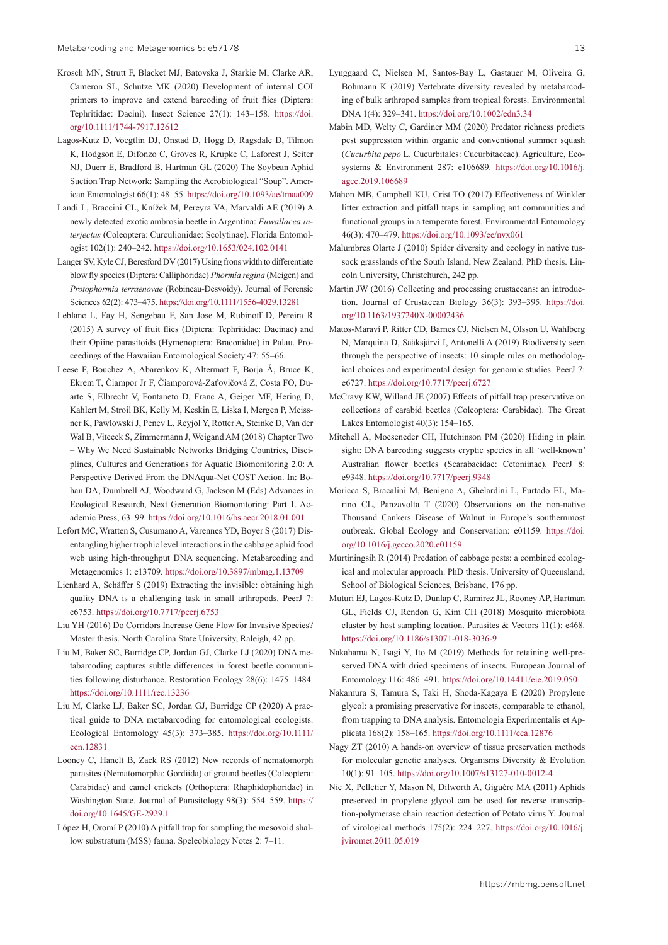- Krosch MN, Strutt F, Blacket MJ, Batovska J, Starkie M, Clarke AR, Cameron SL, Schutze MK (2020) Development of internal COI primers to improve and extend barcoding of fruit flies (Diptera: Tephritidae: Dacini). Insect Science 27(1): 143–158. [https://doi.](https://doi.org/10.1111/1744-7917.12612) [org/10.1111/1744-7917.12612](https://doi.org/10.1111/1744-7917.12612)
- Lagos-Kutz D, Voegtlin DJ, Onstad D, Hogg D, Ragsdale D, Tilmon K, Hodgson E, Difonzo C, Groves R, Krupke C, Laforest J, Seiter NJ, Duerr E, Bradford B, Hartman GL (2020) The Soybean Aphid Suction Trap Network: Sampling the Aerobiological "Soup". American Entomologist 66(1): 48–55.<https://doi.org/10.1093/ae/tmaa009>
- Landi L, Braccini CL, Knížek M, Pereyra VA, Marvaldi AE (2019) A newly detected exotic ambrosia beetle in Argentina: *Euwallacea interjectus* (Coleoptera: Curculionidae: Scolytinae). Florida Entomologist 102(1): 240–242. <https://doi.org/10.1653/024.102.0141>
- Langer SV, Kyle CJ, Beresford DV (2017) Using frons width to differentiate blow fly species (Diptera: Calliphoridae) *Phormia regina* (Meigen) and *Protophormia terraenovae* (Robineau-Desvoidy). Journal of Forensic Sciences 62(2): 473–475.<https://doi.org/10.1111/1556-4029.13281>
- Leblanc L, Fay H, Sengebau F, San Jose M, Rubinoff D, Pereira R (2015) A survey of fruit flies (Diptera: Tephritidae: Dacinae) and their Opiine parasitoids (Hymenoptera: Braconidae) in Palau. Proceedings of the Hawaiian Entomological Society 47: 55–66.
- Leese F, Bouchez A, Abarenkov K, Altermatt F, Borja Á, Bruce K, Ekrem T, Čiampor Jr F, Čiamporová-Zaťovičová Z, Costa FO, Duarte S, Elbrecht V, Fontaneto D, Franc A, Geiger MF, Hering D, Kahlert M, Stroil BK, Kelly M, Keskin E, Liska I, Mergen P, Meissner K, Pawlowski J, Penev L, Reyjol Y, Rotter A, Steinke D, Van der Wal B, Vitecek S, Zimmermann J, Weigand AM (2018) Chapter Two – Why We Need Sustainable Networks Bridging Countries, Disciplines, Cultures and Generations for Aquatic Biomonitoring 2.0: A Perspective Derived From the DNAqua-Net COST Action. In: Bohan DA, Dumbrell AJ, Woodward G, Jackson M (Eds) Advances in Ecological Research, Next Generation Biomonitoring: Part 1. Academic Press, 63–99.<https://doi.org/10.1016/bs.aecr.2018.01.001>
- Lefort MC, Wratten S, Cusumano A, Varennes YD, Boyer S (2017) Disentangling higher trophic level interactions in the cabbage aphid food web using high-throughput DNA sequencing. Metabarcoding and Metagenomics 1: e13709.<https://doi.org/10.3897/mbmg.1.13709>
- Lienhard A, Schäffer S (2019) Extracting the invisible: obtaining high quality DNA is a challenging task in small arthropods. PeerJ 7: e6753. <https://doi.org/10.7717/peerj.6753>
- Liu YH (2016) Do Corridors Increase Gene Flow for Invasive Species? Master thesis. North Carolina State University, Raleigh, 42 pp.
- Liu M, Baker SC, Burridge CP, Jordan GJ, Clarke LJ (2020) DNA metabarcoding captures subtle differences in forest beetle communities following disturbance. Restoration Ecology 28(6): 1475–1484. <https://doi.org/10.1111/rec.13236>
- Liu M, Clarke LJ, Baker SC, Jordan GJ, Burridge CP (2020) A practical guide to DNA metabarcoding for entomological ecologists. Ecological Entomology 45(3): 373–385. [https://doi.org/10.1111/](https://doi.org/10.1111/een.12831) [een.12831](https://doi.org/10.1111/een.12831)
- Looney C, Hanelt B, Zack RS (2012) New records of nematomorph parasites (Nematomorpha: Gordiida) of ground beetles (Coleoptera: Carabidae) and camel crickets (Orthoptera: Rhaphidophoridae) in Washington State. Journal of Parasitology 98(3): 554–559. [https://](https://doi.org/10.1645/GE-2929.1) [doi.org/10.1645/GE-2929.1](https://doi.org/10.1645/GE-2929.1)
- López H, Oromí P (2010) A pitfall trap for sampling the mesovoid shallow substratum (MSS) fauna. Speleobiology Notes 2: 7–11.
- Lynggaard C, Nielsen M, Santos-Bay L, Gastauer M, Oliveira G, Bohmann K (2019) Vertebrate diversity revealed by metabarcoding of bulk arthropod samples from tropical forests. Environmental DNA 1(4): 329–341.<https://doi.org/10.1002/edn3.34>
- Mabin MD, Welty C, Gardiner MM (2020) Predator richness predicts pest suppression within organic and conventional summer squash (*Cucurbita pepo* L. Cucurbitales: Cucurbitaceae). Agriculture, Ecosystems & Environment 287: e106689. [https://doi.org/10.1016/j.](https://doi.org/10.1016/j.agee.2019.106689) [agee.2019.106689](https://doi.org/10.1016/j.agee.2019.106689)
- Mahon MB, Campbell KU, Crist TO (2017) Effectiveness of Winkler litter extraction and pitfall traps in sampling ant communities and functional groups in a temperate forest. Environmental Entomology 46(3): 470–479.<https://doi.org/10.1093/ee/nvx061>
- Malumbres Olarte J (2010) Spider diversity and ecology in native tussock grasslands of the South Island, New Zealand. PhD thesis. Lincoln University, Christchurch, 242 pp.
- Martin JW (2016) Collecting and processing crustaceans: an introduction. Journal of Crustacean Biology 36(3): 393–395. [https://doi.](https://doi.org/10.1163/1937240X-00002436) [org/10.1163/1937240X-00002436](https://doi.org/10.1163/1937240X-00002436)
- Matos-Maraví P, Ritter CD, Barnes CJ, Nielsen M, Olsson U, Wahlberg N, Marquina D, Sääksjärvi I, Antonelli A (2019) Biodiversity seen through the perspective of insects: 10 simple rules on methodological choices and experimental design for genomic studies. PeerJ 7: e6727.<https://doi.org/10.7717/peerj.6727>
- McCravy KW, Willand JE (2007) Effects of pitfall trap preservative on collections of carabid beetles (Coleoptera: Carabidae). The Great Lakes Entomologist 40(3): 154–165.
- Mitchell A, Moeseneder CH, Hutchinson PM (2020) Hiding in plain sight: DNA barcoding suggests cryptic species in all 'well-known' Australian flower beetles (Scarabaeidae: Cetoniinae). PeerJ 8: e9348.<https://doi.org/10.7717/peerj.9348>
- Moricca S, Bracalini M, Benigno A, Ghelardini L, Furtado EL, Marino CL, Panzavolta T (2020) Observations on the non-native Thousand Cankers Disease of Walnut in Europe's southernmost outbreak. Global Ecology and Conservation: e01159. [https://doi.](https://doi.org/10.1016/j.gecco.2020.e01159) [org/10.1016/j.gecco.2020.e01159](https://doi.org/10.1016/j.gecco.2020.e01159)
- Murtiningsih R (2014) Predation of cabbage pests: a combined ecological and molecular approach. PhD thesis. University of Queensland, School of Biological Sciences, Brisbane, 176 pp.
- Muturi EJ, Lagos-Kutz D, Dunlap C, Ramirez JL, Rooney AP, Hartman GL, Fields CJ, Rendon G, Kim CH (2018) Mosquito microbiota cluster by host sampling location. Parasites & Vectors 11(1): e468. <https://doi.org/10.1186/s13071-018-3036-9>
- Nakahama N, Isagi Y, Ito M (2019) Methods for retaining well-preserved DNA with dried specimens of insects. European Journal of Entomology 116: 486–491.<https://doi.org/10.14411/eje.2019.050>
- Nakamura S, Tamura S, Taki H, Shoda-Kagaya E (2020) Propylene glycol: a promising preservative for insects, comparable to ethanol, from trapping to DNA analysis. Entomologia Experimentalis et Applicata 168(2): 158–165. <https://doi.org/10.1111/eea.12876>
- Nagy ZT (2010) A hands-on overview of tissue preservation methods for molecular genetic analyses. Organisms Diversity & Evolution 10(1): 91–105. <https://doi.org/10.1007/s13127-010-0012-4>
- Nie X, Pelletier Y, Mason N, Dilworth A, Giguère MA (2011) Aphids preserved in propylene glycol can be used for reverse transcription-polymerase chain reaction detection of Potato virus Y. Journal of virological methods 175(2): 224–227. [https://doi.org/10.1016/j.](https://doi.org/10.1016/j.jviromet.2011.05.019) [jviromet.2011.05.019](https://doi.org/10.1016/j.jviromet.2011.05.019)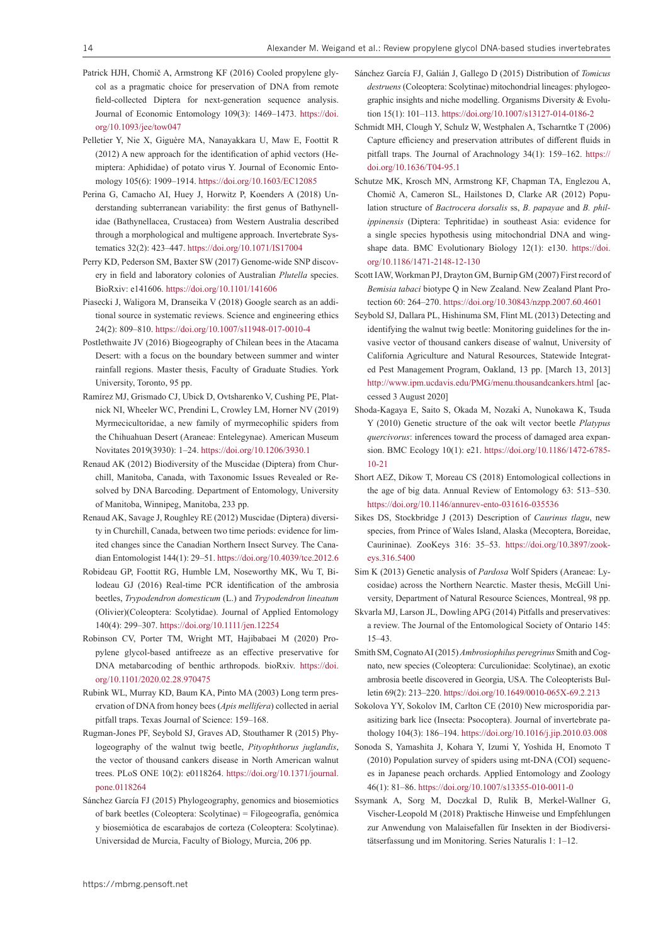- Patrick HJH, Chomič A, Armstrong KF (2016) Cooled propylene glycol as a pragmatic choice for preservation of DNA from remote field-collected Diptera for next-generation sequence analysis. Journal of Economic Entomology 109(3): 1469–1473. [https://doi.](https://doi.org/10.1093/jee/tow047) [org/10.1093/jee/tow047](https://doi.org/10.1093/jee/tow047)
- Pelletier Y, Nie X, Giguère MA, Nanayakkara U, Maw E, Foottit R (2012) A new approach for the identification of aphid vectors (Hemiptera: Aphididae) of potato virus Y. Journal of Economic Entomology 105(6): 1909–1914.<https://doi.org/10.1603/EC12085>
- Perina G, Camacho AI, Huey J, Horwitz P, Koenders A (2018) Understanding subterranean variability: the first genus of Bathynellidae (Bathynellacea, Crustacea) from Western Australia described through a morphological and multigene approach. Invertebrate Systematics 32(2): 423–447.<https://doi.org/10.1071/IS17004>
- Perry KD, Pederson SM, Baxter SW (2017) Genome-wide SNP discovery in field and laboratory colonies of Australian *Plutella* species. BioRxiv: e141606. <https://doi.org/10.1101/141606>
- Piasecki J, Waligora M, Dranseika V (2018) Google search as an additional source in systematic reviews. Science and engineering ethics 24(2): 809–810. <https://doi.org/10.1007/s11948-017-0010-4>
- Postlethwaite JV (2016) Biogeography of Chilean bees in the Atacama Desert: with a focus on the boundary between summer and winter rainfall regions. Master thesis, Faculty of Graduate Studies. York University, Toronto, 95 pp.
- Ramírez MJ, Grismado CJ, Ubick D, Ovtsharenko V, Cushing PE, Platnick NI, Wheeler WC, Prendini L, Crowley LM, Horner NV (2019) Myrmecicultoridae, a new family of myrmecophilic spiders from the Chihuahuan Desert (Araneae: Entelegynae). American Museum Novitates 2019(3930): 1–24.<https://doi.org/10.1206/3930.1>
- Renaud AK (2012) Biodiversity of the Muscidae (Diptera) from Churchill, Manitoba, Canada, with Taxonomic Issues Revealed or Resolved by DNA Barcoding. Department of Entomology, University of Manitoba, Winnipeg, Manitoba, 233 pp.
- Renaud AK, Savage J, Roughley RE (2012) Muscidae (Diptera) diversity in Churchill, Canada, between two time periods: evidence for limited changes since the Canadian Northern Insect Survey. The Canadian Entomologist 144(1): 29–51. <https://doi.org/10.4039/tce.2012.6>
- Robideau GP, Foottit RG, Humble LM, Noseworthy MK, Wu T, Bilodeau GJ (2016) Real-time PCR identification of the ambrosia beetles, *Trypodendron domesticum* (L.) and *Trypodendron lineatum* (Olivier)(Coleoptera: Scolytidae). Journal of Applied Entomology 140(4): 299–307. <https://doi.org/10.1111/jen.12254>
- Robinson CV, Porter TM, Wright MT, Hajibabaei M (2020) Propylene glycol-based antifreeze as an effective preservative for DNA metabarcoding of benthic arthropods. bioRxiv. [https://doi.](https://doi.org/10.1101/2020.02.28.970475) [org/10.1101/2020.02.28.970475](https://doi.org/10.1101/2020.02.28.970475)
- Rubink WL, Murray KD, Baum KA, Pinto MA (2003) Long term preservation of DNA from honey bees (*Apis mellifera*) collected in aerial pitfall traps. Texas Journal of Science: 159–168.
- Rugman-Jones PF, Seybold SJ, Graves AD, Stouthamer R (2015) Phylogeography of the walnut twig beetle, *Pityophthorus juglandis*, the vector of thousand cankers disease in North American walnut trees. PLoS ONE 10(2): e0118264. [https://doi.org/10.1371/journal.](https://doi.org/10.1371/journal.pone.0118264) [pone.0118264](https://doi.org/10.1371/journal.pone.0118264)
- Sánchez García FJ (2015) Phylogeography, genomics and biosemiotics of bark beetles (Coleoptera: Scolytinae) = Filogeografía, genómica y biosemiótica de escarabajos de corteza (Coleoptera: Scolytinae). Universidad de Murcia, Faculty of Biology, Murcia, 206 pp.
- Sánchez García FJ, Galián J, Gallego D (2015) Distribution of *Tomicus destruens* (Coleoptera: Scolytinae) mitochondrial lineages: phylogeographic insights and niche modelling. Organisms Diversity & Evolution 15(1): 101–113. <https://doi.org/10.1007/s13127-014-0186-2>
- Schmidt MH, Clough Y, Schulz W, Westphalen A, Tscharntke T (2006) Capture efficiency and preservation attributes of different fluids in pitfall traps. The Journal of Arachnology 34(1): 159–162. [https://](https://doi.org/10.1636/T04-95.1) [doi.org/10.1636/T04-95.1](https://doi.org/10.1636/T04-95.1)
- Schutze MK, Krosch MN, Armstrong KF, Chapman TA, Englezou A, Chomič A, Cameron SL, Hailstones D, Clarke AR (2012) Population structure of *Bactrocera dorsalis* ss, *B. papayae* and *B. philippinensis* (Diptera: Tephritidae) in southeast Asia: evidence for a single species hypothesis using mitochondrial DNA and wingshape data. BMC Evolutionary Biology 12(1): e130. [https://doi.](https://doi.org/10.1186/1471-2148-12-130) [org/10.1186/1471-2148-12-130](https://doi.org/10.1186/1471-2148-12-130)
- Scott IAW, Workman PJ, Drayton GM, Burnip GM (2007) First record of *Bemisia tabaci* biotype Q in New Zealand. New Zealand Plant Protection 60: 264–270.<https://doi.org/10.30843/nzpp.2007.60.4601>
- Seybold SJ, Dallara PL, Hishinuma SM, Flint ML (2013) Detecting and identifying the walnut twig beetle: Monitoring guidelines for the invasive vector of thousand cankers disease of walnut, University of California Agriculture and Natural Resources, Statewide Integrated Pest Management Program, Oakland, 13 pp. [March 13, 2013] <http://www.ipm.ucdavis.edu/PMG/menu.thousandcankers.html> [accessed 3 August 2020]
- Shoda-Kagaya E, Saito S, Okada M, Nozaki A, Nunokawa K, Tsuda Y (2010) Genetic structure of the oak wilt vector beetle *Platypus quercivorus*: inferences toward the process of damaged area expansion. BMC Ecology 10(1): e21. [https://doi.org/10.1186/1472-6785-](https://doi.org/10.1186/1472-6785-10-21) [10-21](https://doi.org/10.1186/1472-6785-10-21)
- Short AEZ, Dikow T, Moreau CS (2018) Entomological collections in the age of big data. Annual Review of Entomology 63: 513–530. <https://doi.org/10.1146/annurev-ento-031616-035536>
- Sikes DS, Stockbridge J (2013) Description of *Caurinus tlagu*, new species, from Prince of Wales Island, Alaska (Mecoptera, Boreidae, Caurininae). ZooKeys 316: 35–53. [https://doi.org/10.3897/zook](https://doi.org/10.3897/zookeys.316.5400)[eys.316.5400](https://doi.org/10.3897/zookeys.316.5400)
- Sim K (2013) Genetic analysis of *Pardosa* Wolf Spiders (Araneae: Lycosidae) across the Northern Nearctic. Master thesis, McGill University, Department of Natural Resource Sciences, Montreal, 98 pp.
- Skvarla MJ, Larson JL, Dowling APG (2014) Pitfalls and preservatives: a review. The Journal of the Entomological Society of Ontario 145: 15–43.
- Smith SM, Cognato AI (2015) *Ambrosiophilus peregrinus* Smith and Cognato, new species (Coleoptera: Curculionidae: Scolytinae), an exotic ambrosia beetle discovered in Georgia, USA. The Coleopterists Bulletin 69(2): 213–220. <https://doi.org/10.1649/0010-065X-69.2.213>
- Sokolova YY, Sokolov IM, Carlton CE (2010) New microsporidia parasitizing bark lice (Insecta: Psocoptera). Journal of invertebrate pathology 104(3): 186–194.<https://doi.org/10.1016/j.jip.2010.03.008>
- Sonoda S, Yamashita J, Kohara Y, Izumi Y, Yoshida H, Enomoto T (2010) Population survey of spiders using mt-DNA (COI) sequences in Japanese peach orchards. Applied Entomology and Zoology 46(1): 81–86. <https://doi.org/10.1007/s13355-010-0011-0>
- Ssymank A, Sorg M, Doczkal D, Rulik B, Merkel-Wallner G, Vischer-Leopold M (2018) Praktische Hinweise und Empfehlungen zur Anwendung von Malaisefallen für Insekten in der Biodiversitätserfassung und im Monitoring. Series Naturalis 1: 1–12.